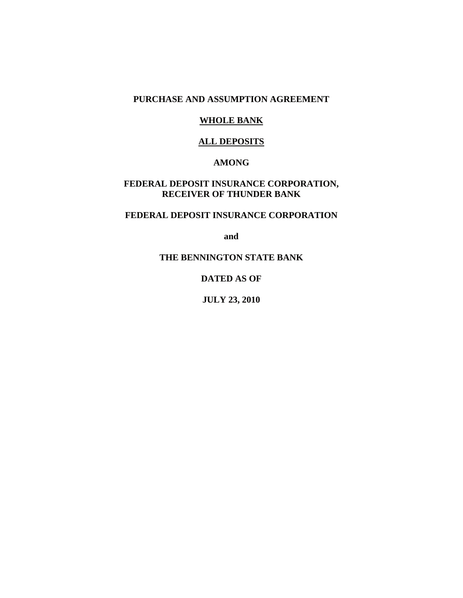#### **PURCHASE AND ASSUMPTION AGREEMENT**

#### **WHOLE BANK**

#### **ALL DEPOSITS**

#### **AMONG**

#### **FEDERAL DEPOSIT INSURANCE CORPORATION, RECEIVER OF THUNDER BANK**

#### **FEDERAL DEPOSIT INSURANCE CORPORATION**

**and** 

**THE BENNINGTON STATE BANK** 

**DATED AS OF**

**JULY 23, 2010**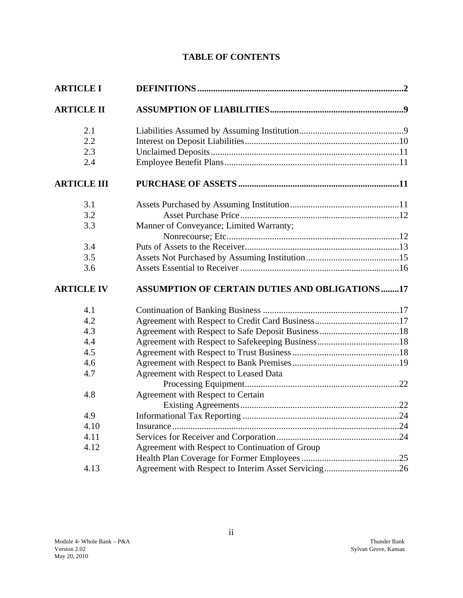# **TABLE OF CONTENTS**

| <b>ARTICLE I</b>   |                                                       |  |  |  |  |
|--------------------|-------------------------------------------------------|--|--|--|--|
| <b>ARTICLE II</b>  |                                                       |  |  |  |  |
| 2.1                |                                                       |  |  |  |  |
| 2.2                |                                                       |  |  |  |  |
| 2.3                |                                                       |  |  |  |  |
| 2.4                |                                                       |  |  |  |  |
| <b>ARTICLE III</b> |                                                       |  |  |  |  |
| 3.1                |                                                       |  |  |  |  |
| 3.2                |                                                       |  |  |  |  |
| 3.3                | Manner of Conveyance; Limited Warranty;               |  |  |  |  |
|                    |                                                       |  |  |  |  |
| 3.4                |                                                       |  |  |  |  |
| 3.5                |                                                       |  |  |  |  |
| 3.6                |                                                       |  |  |  |  |
| <b>ARTICLE IV</b>  | <b>ASSUMPTION OF CERTAIN DUTIES AND OBLIGATIONS17</b> |  |  |  |  |
| 4.1                |                                                       |  |  |  |  |
| 4.2                |                                                       |  |  |  |  |
| 4.3                |                                                       |  |  |  |  |
| 4.4                |                                                       |  |  |  |  |
| 4.5                |                                                       |  |  |  |  |
| 4.6                |                                                       |  |  |  |  |
| 4.7                | Agreement with Respect to Leased Data                 |  |  |  |  |
|                    |                                                       |  |  |  |  |
| 4.8                | Agreement with Respect to Certain                     |  |  |  |  |
|                    |                                                       |  |  |  |  |
| 4.9                |                                                       |  |  |  |  |
| 4.10               |                                                       |  |  |  |  |
| 4.11               |                                                       |  |  |  |  |
| 4.12               | Agreement with Respect to Continuation of Group       |  |  |  |  |
|                    |                                                       |  |  |  |  |
| 4.13               |                                                       |  |  |  |  |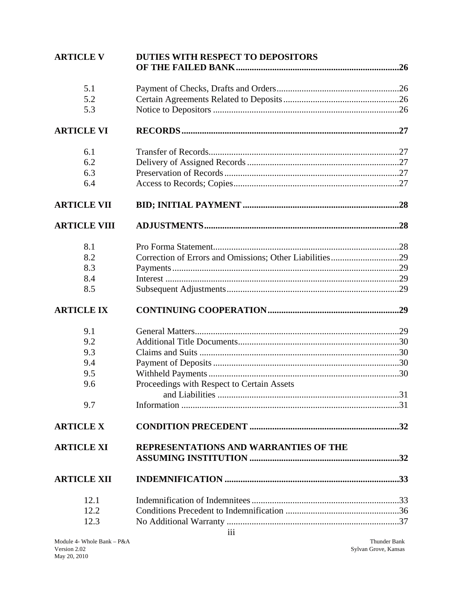| <b>ARTICLE V</b>    | <b>DUTIES WITH RESPECT TO DEPOSITORS</b>   |  |  |  |  |  |
|---------------------|--------------------------------------------|--|--|--|--|--|
| 5.1                 |                                            |  |  |  |  |  |
| 5.2                 |                                            |  |  |  |  |  |
| 5.3                 |                                            |  |  |  |  |  |
| <b>ARTICLE VI</b>   |                                            |  |  |  |  |  |
| 6.1                 |                                            |  |  |  |  |  |
| 6.2                 |                                            |  |  |  |  |  |
| 6.3                 |                                            |  |  |  |  |  |
| 6.4                 |                                            |  |  |  |  |  |
| <b>ARTICLE VII</b>  |                                            |  |  |  |  |  |
| <b>ARTICLE VIII</b> |                                            |  |  |  |  |  |
| 8.1                 |                                            |  |  |  |  |  |
| 8.2                 |                                            |  |  |  |  |  |
| 8.3                 |                                            |  |  |  |  |  |
| 8.4                 |                                            |  |  |  |  |  |
| 8.5                 |                                            |  |  |  |  |  |
| <b>ARTICLE IX</b>   |                                            |  |  |  |  |  |
| 9.1                 |                                            |  |  |  |  |  |
| 9.2                 |                                            |  |  |  |  |  |
| 9.3                 |                                            |  |  |  |  |  |
| 9.4                 |                                            |  |  |  |  |  |
| 9.5                 |                                            |  |  |  |  |  |
| 9.6                 | Proceedings with Respect to Certain Assets |  |  |  |  |  |
|                     |                                            |  |  |  |  |  |
| 9.7                 |                                            |  |  |  |  |  |
| <b>ARTICLE X</b>    |                                            |  |  |  |  |  |
| <b>ARTICLE XI</b>   | REPRESENTATIONS AND WARRANTIES OF THE      |  |  |  |  |  |
| <b>ARTICLE XII</b>  |                                            |  |  |  |  |  |
| 12.1                |                                            |  |  |  |  |  |
| 12.2                |                                            |  |  |  |  |  |
| 12.3                |                                            |  |  |  |  |  |
|                     |                                            |  |  |  |  |  |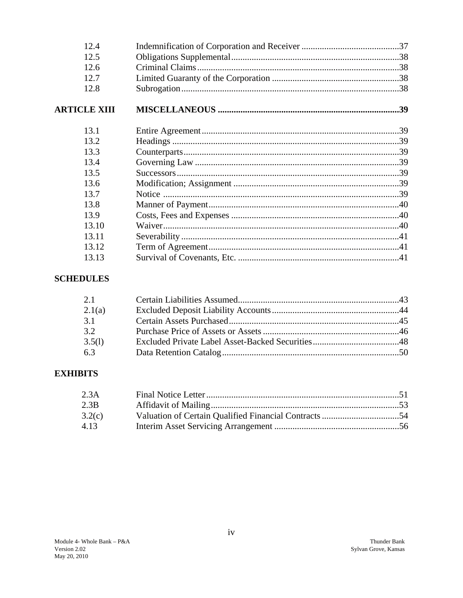| 12.4                |  |  |  |
|---------------------|--|--|--|
| 12.5                |  |  |  |
| 12.6                |  |  |  |
| 12.7                |  |  |  |
| 12.8                |  |  |  |
| <b>ARTICLE XIII</b> |  |  |  |
| 13.1                |  |  |  |
| 13.2                |  |  |  |
| 13.3                |  |  |  |
| 13.4                |  |  |  |
| 13.5                |  |  |  |
| 13.6                |  |  |  |
| 13.7                |  |  |  |
| 13.8                |  |  |  |
| 13.9                |  |  |  |
| 13.10               |  |  |  |
| 13.11               |  |  |  |
| 13.12               |  |  |  |
| 13.13               |  |  |  |

# **SCHEDULES**

| 2.1    |  |
|--------|--|
| 2.1(a) |  |
| 3.1    |  |
| 3.2    |  |
| 3.5(l) |  |
| 6.3    |  |

# **EXHIBITS**

| 2.3A   |  |
|--------|--|
| 2.3B   |  |
| 3.2(c) |  |
| 4.13   |  |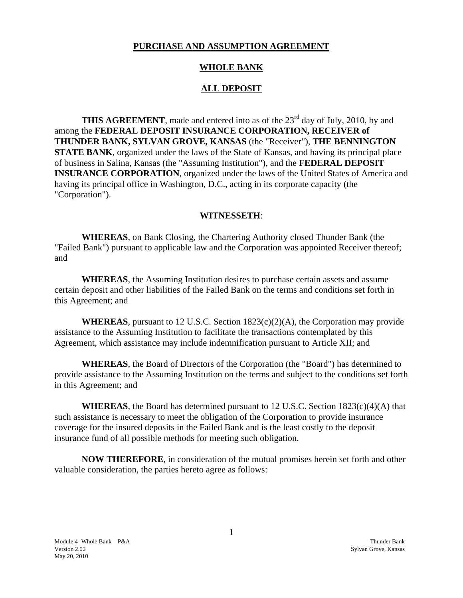#### **PURCHASE AND ASSUMPTION AGREEMENT**

### **WHOLE BANK**

#### **ALL DEPOSIT**

**THIS AGREEMENT**, made and entered into as of the 23<sup>rd</sup> day of July, 2010, by and among the **FEDERAL DEPOSIT INSURANCE CORPORATION, RECEIVER of THUNDER BANK, SYLVAN GROVE, KANSAS** (the "Receiver"), **THE BENNINGTON STATE BANK**, organized under the laws of the State of Kansas, and having its principal place of business in Salina, Kansas (the "Assuming Institution"), and the **FEDERAL DEPOSIT INSURANCE CORPORATION**, organized under the laws of the United States of America and having its principal office in Washington, D.C., acting in its corporate capacity (the "Corporation").

#### **WITNESSETH**:

**WHEREAS**, on Bank Closing, the Chartering Authority closed Thunder Bank (the "Failed Bank") pursuant to applicable law and the Corporation was appointed Receiver thereof; and

**WHEREAS**, the Assuming Institution desires to purchase certain assets and assume certain deposit and other liabilities of the Failed Bank on the terms and conditions set forth in this Agreement; and

**WHEREAS**, pursuant to 12 U.S.C. Section 1823(c)(2)(A), the Corporation may provide assistance to the Assuming Institution to facilitate the transactions contemplated by this Agreement, which assistance may include indemnification pursuant to Article XII; and

**WHEREAS**, the Board of Directors of the Corporation (the "Board") has determined to provide assistance to the Assuming Institution on the terms and subject to the conditions set forth in this Agreement; and

**WHEREAS**, the Board has determined pursuant to 12 U.S.C. Section 1823(c)(4)(A) that such assistance is necessary to meet the obligation of the Corporation to provide insurance coverage for the insured deposits in the Failed Bank and is the least costly to the deposit insurance fund of all possible methods for meeting such obligation.

 **NOW THEREFORE**, in consideration of the mutual promises herein set forth and other valuable consideration, the parties hereto agree as follows: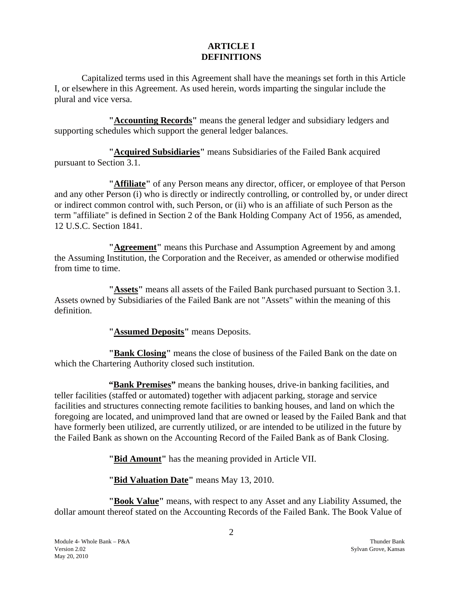## **ARTICLE I DEFINITIONS**

<span id="page-5-0"></span>Capitalized terms used in this Agreement shall have the meanings set forth in this Article I, or elsewhere in this Agreement. As used herein, words imparting the singular include the plural and vice versa.

**"Accounting Records"** means the general ledger and subsidiary ledgers and supporting schedules which support the general ledger balances.

**"Acquired Subsidiaries"** means Subsidiaries of the Failed Bank acquired pursuant to Section 3.1.

**"Affiliate"** of any Person means any director, officer, or employee of that Person and any other Person (i) who is directly or indirectly controlling, or controlled by, or under direct or indirect common control with, such Person, or (ii) who is an affiliate of such Person as the term "affiliate" is defined in Section 2 of the Bank Holding Company Act of 1956, as amended, 12 U.S.C. Section 1841.

**"Agreement"** means this Purchase and Assumption Agreement by and among the Assuming Institution, the Corporation and the Receiver, as amended or otherwise modified from time to time.

**"Assets"** means all assets of the Failed Bank purchased pursuant to Section 3.1. Assets owned by Subsidiaries of the Failed Bank are not "Assets" within the meaning of this definition.

**"Assumed Deposits"** means Deposits.

**"Bank Closing"** means the close of business of the Failed Bank on the date on which the Chartering Authority closed such institution.

**"Bank Premises"** means the banking houses, drive-in banking facilities, and teller facilities (staffed or automated) together with adjacent parking, storage and service facilities and structures connecting remote facilities to banking houses, and land on which the foregoing are located, and unimproved land that are owned or leased by the Failed Bank and that have formerly been utilized, are currently utilized, or are intended to be utilized in the future by the Failed Bank as shown on the Accounting Record of the Failed Bank as of Bank Closing.

**"Bid Amount"** has the meaning provided in Article VII.

**"Bid Valuation Date"** means May 13, 2010.

**"Book Value"** means, with respect to any Asset and any Liability Assumed, the dollar amount thereof stated on the Accounting Records of the Failed Bank. The Book Value of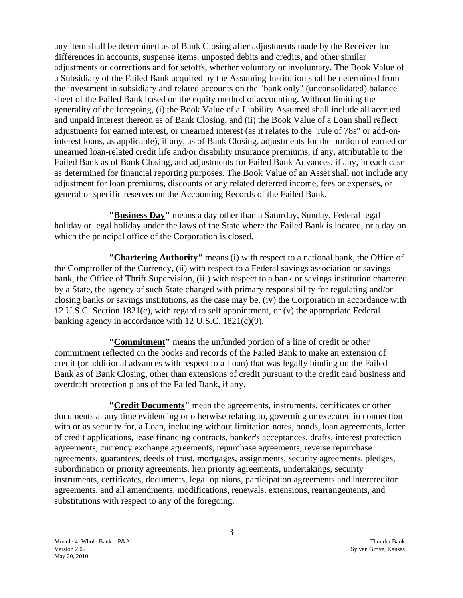any item shall be determined as of Bank Closing after adjustments made by the Receiver for differences in accounts, suspense items, unposted debits and credits, and other similar adjustments or corrections and for setoffs, whether voluntary or involuntary. The Book Value of a Subsidiary of the Failed Bank acquired by the Assuming Institution shall be determined from the investment in subsidiary and related accounts on the "bank only" (unconsolidated) balance sheet of the Failed Bank based on the equity method of accounting. Without limiting the generality of the foregoing, (i) the Book Value of a Liability Assumed shall include all accrued and unpaid interest thereon as of Bank Closing, and (ii) the Book Value of a Loan shall reflect adjustments for earned interest, or unearned interest (as it relates to the "rule of 78s" or add-oninterest loans, as applicable), if any, as of Bank Closing, adjustments for the portion of earned or unearned loan-related credit life and/or disability insurance premiums, if any, attributable to the Failed Bank as of Bank Closing, and adjustments for Failed Bank Advances, if any, in each case as determined for financial reporting purposes. The Book Value of an Asset shall not include any adjustment for loan premiums, discounts or any related deferred income, fees or expenses, or general or specific reserves on the Accounting Records of the Failed Bank.

**"Business Day"** means a day other than a Saturday, Sunday, Federal legal holiday or legal holiday under the laws of the State where the Failed Bank is located, or a day on which the principal office of the Corporation is closed.

**"Chartering Authority"** means (i) with respect to a national bank, the Office of the Comptroller of the Currency, (ii) with respect to a Federal savings association or savings bank, the Office of Thrift Supervision, (iii) with respect to a bank or savings institution chartered by a State, the agency of such State charged with primary responsibility for regulating and/or closing banks or savings institutions, as the case may be, (iv) the Corporation in accordance with 12 U.S.C. Section 1821(c), with regard to self appointment, or (v) the appropriate Federal banking agency in accordance with 12 U.S.C. 1821(c)(9).

**"Commitment"** means the unfunded portion of a line of credit or other commitment reflected on the books and records of the Failed Bank to make an extension of credit (or additional advances with respect to a Loan) that was legally binding on the Failed Bank as of Bank Closing, other than extensions of credit pursuant to the credit card business and overdraft protection plans of the Failed Bank, if any.

**"Credit Documents"** mean the agreements, instruments, certificates or other documents at any time evidencing or otherwise relating to, governing or executed in connection with or as security for, a Loan, including without limitation notes, bonds, loan agreements, letter of credit applications, lease financing contracts, banker's acceptances, drafts, interest protection agreements, currency exchange agreements, repurchase agreements, reverse repurchase agreements, guarantees, deeds of trust, mortgages, assignments, security agreements, pledges, subordination or priority agreements, lien priority agreements, undertakings, security instruments, certificates, documents, legal opinions, participation agreements and intercreditor agreements, and all amendments, modifications, renewals, extensions, rearrangements, and substitutions with respect to any of the foregoing.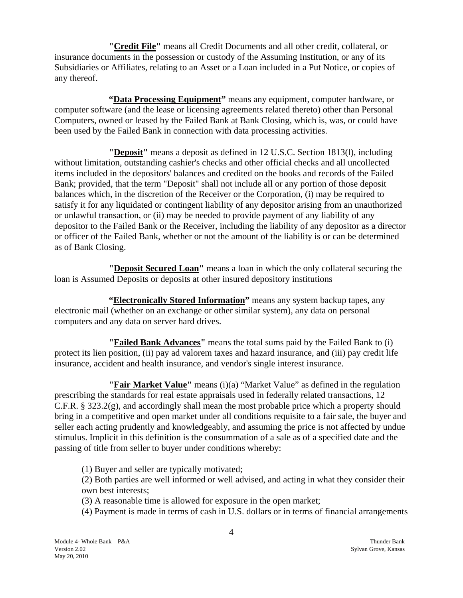**"Credit File"** means all Credit Documents and all other credit, collateral, or insurance documents in the possession or custody of the Assuming Institution, or any of its Subsidiaries or Affiliates, relating to an Asset or a Loan included in a Put Notice, or copies of any thereof.

**"Data Processing Equipment"** means any equipment, computer hardware, or computer software (and the lease or licensing agreements related thereto) other than Personal Computers, owned or leased by the Failed Bank at Bank Closing, which is, was, or could have been used by the Failed Bank in connection with data processing activities.

**"Deposit"** means a deposit as defined in 12 U.S.C. Section 1813(l), including without limitation, outstanding cashier's checks and other official checks and all uncollected items included in the depositors' balances and credited on the books and records of the Failed Bank; provided, that the term "Deposit" shall not include all or any portion of those deposit balances which, in the discretion of the Receiver or the Corporation, (i) may be required to satisfy it for any liquidated or contingent liability of any depositor arising from an unauthorized or unlawful transaction, or (ii) may be needed to provide payment of any liability of any depositor to the Failed Bank or the Receiver, including the liability of any depositor as a director or officer of the Failed Bank, whether or not the amount of the liability is or can be determined as of Bank Closing.

**"Deposit Secured Loan"** means a loan in which the only collateral securing the loan is Assumed Deposits or deposits at other insured depository institutions

**"Electronically Stored Information"** means any system backup tapes, any electronic mail (whether on an exchange or other similar system), any data on personal computers and any data on server hard drives.

**"Failed Bank Advances"** means the total sums paid by the Failed Bank to (i) protect its lien position, (ii) pay ad valorem taxes and hazard insurance, and (iii) pay credit life insurance, accident and health insurance, and vendor's single interest insurance.

**"Fair Market Value"** means (i)(a) "Market Value" as defined in the regulation prescribing the standards for real estate appraisals used in federally related transactions, 12 C.F.R.  $\S 323.2(g)$ , and accordingly shall mean the most probable price which a property should bring in a competitive and open market under all conditions requisite to a fair sale, the buyer and seller each acting prudently and knowledgeably, and assuming the price is not affected by undue stimulus. Implicit in this definition is the consummation of a sale as of a specified date and the passing of title from seller to buyer under conditions whereby:

(1) Buyer and seller are typically motivated;

(2) Both parties are well informed or well advised, and acting in what they consider their own best interests;

(3) A reasonable time is allowed for exposure in the open market;

(4) Payment is made in terms of cash in U.S. dollars or in terms of financial arrangements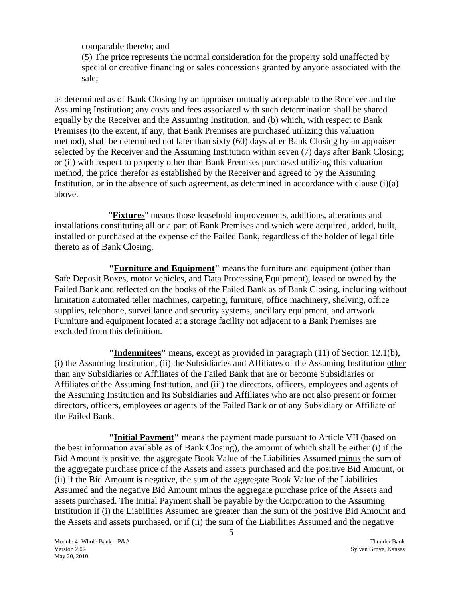comparable thereto; and

(5) The price represents the normal consideration for the property sold unaffected by special or creative financing or sales concessions granted by anyone associated with the sale;

as determined as of Bank Closing by an appraiser mutually acceptable to the Receiver and the Assuming Institution; any costs and fees associated with such determination shall be shared equally by the Receiver and the Assuming Institution, and (b) which, with respect to Bank Premises (to the extent, if any, that Bank Premises are purchased utilizing this valuation method), shall be determined not later than sixty (60) days after Bank Closing by an appraiser selected by the Receiver and the Assuming Institution within seven (7) days after Bank Closing; or (ii) with respect to property other than Bank Premises purchased utilizing this valuation method, the price therefor as established by the Receiver and agreed to by the Assuming Institution, or in the absence of such agreement, as determined in accordance with clause (i)(a) above.

"**Fixtures**" means those leasehold improvements, additions, alterations and installations constituting all or a part of Bank Premises and which were acquired, added, built, installed or purchased at the expense of the Failed Bank, regardless of the holder of legal title thereto as of Bank Closing.

**"Furniture and Equipment"** means the furniture and equipment (other than Safe Deposit Boxes, motor vehicles, and Data Processing Equipment), leased or owned by the Failed Bank and reflected on the books of the Failed Bank as of Bank Closing, including without limitation automated teller machines, carpeting, furniture, office machinery, shelving, office supplies, telephone, surveillance and security systems, ancillary equipment, and artwork. Furniture and equipment located at a storage facility not adjacent to a Bank Premises are excluded from this definition.

**"Indemnitees"** means, except as provided in paragraph (11) of Section 12.1(b), (i) the Assuming Institution, (ii) the Subsidiaries and Affiliates of the Assuming Institution other than any Subsidiaries or Affiliates of the Failed Bank that are or become Subsidiaries or Affiliates of the Assuming Institution, and (iii) the directors, officers, employees and agents of the Assuming Institution and its Subsidiaries and Affiliates who are not also present or former directors, officers, employees or agents of the Failed Bank or of any Subsidiary or Affiliate of the Failed Bank.

**"Initial Payment"** means the payment made pursuant to Article VII (based on the best information available as of Bank Closing), the amount of which shall be either (i) if the Bid Amount is positive, the aggregate Book Value of the Liabilities Assumed minus the sum of the aggregate purchase price of the Assets and assets purchased and the positive Bid Amount, or (ii) if the Bid Amount is negative, the sum of the aggregate Book Value of the Liabilities Assumed and the negative Bid Amount minus the aggregate purchase price of the Assets and assets purchased. The Initial Payment shall be payable by the Corporation to the Assuming Institution if (i) the Liabilities Assumed are greater than the sum of the positive Bid Amount and the Assets and assets purchased, or if (ii) the sum of the Liabilities Assumed and the negative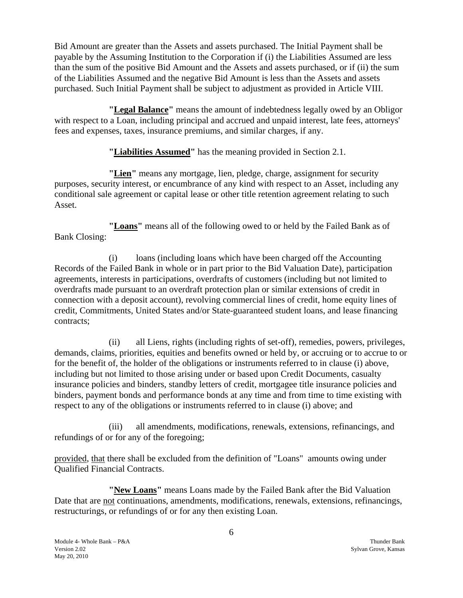Bid Amount are greater than the Assets and assets purchased. The Initial Payment shall be payable by the Assuming Institution to the Corporation if (i) the Liabilities Assumed are less than the sum of the positive Bid Amount and the Assets and assets purchased, or if (ii) the sum of the Liabilities Assumed and the negative Bid Amount is less than the Assets and assets purchased. Such Initial Payment shall be subject to adjustment as provided in Article VIII.

**"Legal Balance"** means the amount of indebtedness legally owed by an Obligor with respect to a Loan, including principal and accrued and unpaid interest, late fees, attorneys' fees and expenses, taxes, insurance premiums, and similar charges, if any.

**"Liabilities Assumed"** has the meaning provided in Section 2.1.

**"Lien"** means any mortgage, lien, pledge, charge, assignment for security purposes, security interest, or encumbrance of any kind with respect to an Asset, including any conditional sale agreement or capital lease or other title retention agreement relating to such Asset.

**"Loans"** means all of the following owed to or held by the Failed Bank as of Bank Closing:

(i) loans (including loans which have been charged off the Accounting Records of the Failed Bank in whole or in part prior to the Bid Valuation Date), participation agreements, interests in participations, overdrafts of customers (including but not limited to overdrafts made pursuant to an overdraft protection plan or similar extensions of credit in connection with a deposit account), revolving commercial lines of credit, home equity lines of credit, Commitments, United States and/or State-guaranteed student loans, and lease financing contracts;

(ii) all Liens, rights (including rights of set-off), remedies, powers, privileges, demands, claims, priorities, equities and benefits owned or held by, or accruing or to accrue to or for the benefit of, the holder of the obligations or instruments referred to in clause (i) above, including but not limited to those arising under or based upon Credit Documents, casualty insurance policies and binders, standby letters of credit, mortgagee title insurance policies and binders, payment bonds and performance bonds at any time and from time to time existing with respect to any of the obligations or instruments referred to in clause (i) above; and

(iii) all amendments, modifications, renewals, extensions, refinancings, and refundings of or for any of the foregoing;

provided, that there shall be excluded from the definition of "Loans" amounts owing under Qualified Financial Contracts.

**"New Loans"** means Loans made by the Failed Bank after the Bid Valuation Date that are not continuations, amendments, modifications, renewals, extensions, refinancings, restructurings, or refundings of or for any then existing Loan.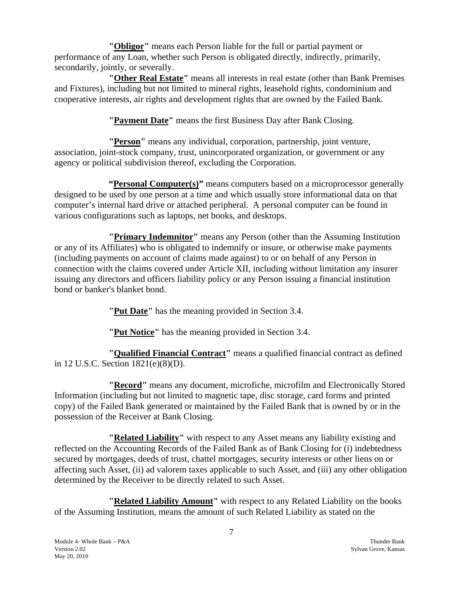**"Obligor"** means each Person liable for the full or partial payment or performance of any Loan, whether such Person is obligated directly, indirectly, primarily, secondarily, jointly, or severally.

**"Other Real Estate"** means all interests in real estate (other than Bank Premises and Fixtures), including but not limited to mineral rights, leasehold rights, condominium and cooperative interests, air rights and development rights that are owned by the Failed Bank.

**"Payment Date"** means the first Business Day after Bank Closing.

**"Person"** means any individual, corporation, partnership, joint venture, association, joint-stock company, trust, unincorporated organization, or government or any agency or political subdivision thereof, excluding the Corporation.

**"Personal Computer(s)"** means computers based on a microprocessor generally designed to be used by one person at a time and which usually store informational data on that computer's internal hard drive or attached peripheral. A personal computer can be found in various configurations such as laptops, net books, and desktops.

**"Primary Indemnitor"** means any Person (other than the Assuming Institution or any of its Affiliates) who is obligated to indemnify or insure, or otherwise make payments (including payments on account of claims made against) to or on behalf of any Person in connection with the claims covered under Article XII, including without limitation any insurer issuing any directors and officers liability policy or any Person issuing a financial institution bond or banker's blanket bond.

**"Put Date"** has the meaning provided in Section 3.4.

**"Put Notice"** has the meaning provided in Section 3.4.

**"Qualified Financial Contract"** means a qualified financial contract as defined in 12 U.S.C. Section 1821(e)(8)(D).

**"Record"** means any document, microfiche, microfilm and Electronically Stored Information (including but not limited to magnetic tape, disc storage, card forms and printed copy) of the Failed Bank generated or maintained by the Failed Bank that is owned by or in the possession of the Receiver at Bank Closing.

**"Related Liability"** with respect to any Asset means any liability existing and reflected on the Accounting Records of the Failed Bank as of Bank Closing for (i) indebtedness secured by mortgages, deeds of trust, chattel mortgages, security interests or other liens on or affecting such Asset, (ii) ad valorem taxes applicable to such Asset, and (iii) any other obligation determined by the Receiver to be directly related to such Asset.

**"Related Liability Amount"** with respect to any Related Liability on the books of the Assuming Institution, means the amount of such Related Liability as stated on the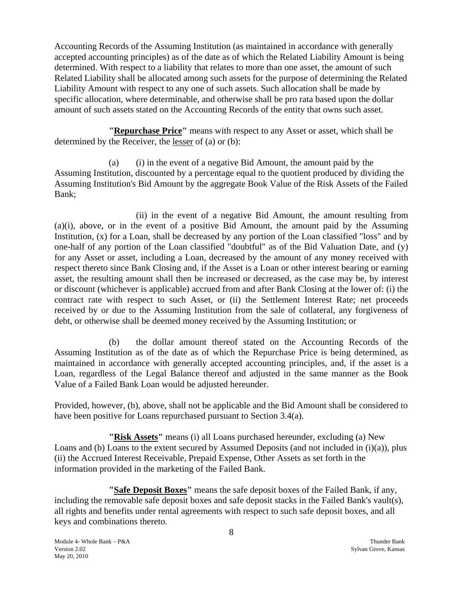Accounting Records of the Assuming Institution (as maintained in accordance with generally accepted accounting principles) as of the date as of which the Related Liability Amount is being determined. With respect to a liability that relates to more than one asset, the amount of such Related Liability shall be allocated among such assets for the purpose of determining the Related Liability Amount with respect to any one of such assets. Such allocation shall be made by specific allocation, where determinable, and otherwise shall be pro rata based upon the dollar amount of such assets stated on the Accounting Records of the entity that owns such asset.

**"Repurchase Price"** means with respect to any Asset or asset, which shall be determined by the Receiver, the lesser of (a) or (b):

(a) (i) in the event of a negative Bid Amount, the amount paid by the Assuming Institution, discounted by a percentage equal to the quotient produced by dividing the Assuming Institution's Bid Amount by the aggregate Book Value of the Risk Assets of the Failed Bank;

(ii) in the event of a negative Bid Amount, the amount resulting from (a)(i), above, or in the event of a positive Bid Amount, the amount paid by the Assuming Institution, (x) for a Loan, shall be decreased by any portion of the Loan classified "loss" and by one-half of any portion of the Loan classified "doubtful" as of the Bid Valuation Date, and (y) for any Asset or asset, including a Loan, decreased by the amount of any money received with respect thereto since Bank Closing and, if the Asset is a Loan or other interest bearing or earning asset, the resulting amount shall then be increased or decreased, as the case may be, by interest or discount (whichever is applicable) accrued from and after Bank Closing at the lower of: (i) the contract rate with respect to such Asset, or (ii) the Settlement Interest Rate; net proceeds received by or due to the Assuming Institution from the sale of collateral, any forgiveness of debt, or otherwise shall be deemed money received by the Assuming Institution; or

(b) the dollar amount thereof stated on the Accounting Records of the Assuming Institution as of the date as of which the Repurchase Price is being determined, as maintained in accordance with generally accepted accounting principles, and, if the asset is a Loan, regardless of the Legal Balance thereof and adjusted in the same manner as the Book Value of a Failed Bank Loan would be adjusted hereunder.

Provided, however, (b), above, shall not be applicable and the Bid Amount shall be considered to have been positive for Loans repurchased pursuant to Section 3.4(a).

**"Risk Assets"** means (i) all Loans purchased hereunder, excluding (a) New Loans and (b) Loans to the extent secured by Assumed Deposits (and not included in (i)(a)), plus (ii) the Accrued Interest Receivable, Prepaid Expense, Other Assets as set forth in the information provided in the marketing of the Failed Bank.

**"Safe Deposit Boxes"** means the safe deposit boxes of the Failed Bank, if any, including the removable safe deposit boxes and safe deposit stacks in the Failed Bank's vault(s), all rights and benefits under rental agreements with respect to such safe deposit boxes, and all keys and combinations thereto.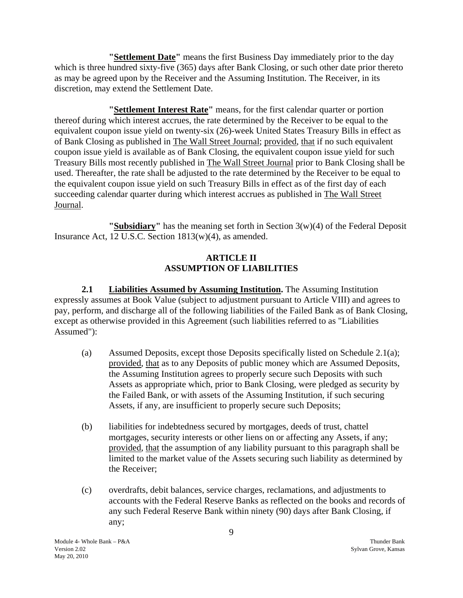<span id="page-12-0"></span> **"Settlement Date"** means the first Business Day immediately prior to the day which is three hundred sixty-five (365) days after Bank Closing, or such other date prior thereto as may be agreed upon by the Receiver and the Assuming Institution. The Receiver, in its discretion, may extend the Settlement Date.

**"Settlement Interest Rate"** means, for the first calendar quarter or portion thereof during which interest accrues, the rate determined by the Receiver to be equal to the equivalent coupon issue yield on twenty-six (26)-week United States Treasury Bills in effect as of Bank Closing as published in The Wall Street Journal; provided, that if no such equivalent coupon issue yield is available as of Bank Closing, the equivalent coupon issue yield for such Treasury Bills most recently published in The Wall Street Journal prior to Bank Closing shall be used. Thereafter, the rate shall be adjusted to the rate determined by the Receiver to be equal to the equivalent coupon issue yield on such Treasury Bills in effect as of the first day of each succeeding calendar quarter during which interest accrues as published in The Wall Street Journal.

**"Subsidiary"** has the meaning set forth in Section 3(w)(4) of the Federal Deposit Insurance Act, 12 U.S.C. Section 1813(w)(4), as amended.

## **ARTICLE II ASSUMPTION OF LIABILITIES**

 **2.1 Liabilities Assumed by Assuming Institution.** The Assuming Institution expressly assumes at Book Value (subject to adjustment pursuant to Article VIII) and agrees to pay, perform, and discharge all of the following liabilities of the Failed Bank as of Bank Closing, except as otherwise provided in this Agreement (such liabilities referred to as "Liabilities Assumed"):

- (a) Assumed Deposits, except those Deposits specifically listed on Schedule 2.1(a); provided, that as to any Deposits of public money which are Assumed Deposits, the Assuming Institution agrees to properly secure such Deposits with such Assets as appropriate which, prior to Bank Closing, were pledged as security by the Failed Bank, or with assets of the Assuming Institution, if such securing Assets, if any, are insufficient to properly secure such Deposits;
- (b) liabilities for indebtedness secured by mortgages, deeds of trust, chattel mortgages, security interests or other liens on or affecting any Assets, if any; provided, that the assumption of any liability pursuant to this paragraph shall be limited to the market value of the Assets securing such liability as determined by the Receiver;
- (c) overdrafts, debit balances, service charges, reclamations, and adjustments to accounts with the Federal Reserve Banks as reflected on the books and records of any such Federal Reserve Bank within ninety (90) days after Bank Closing, if any;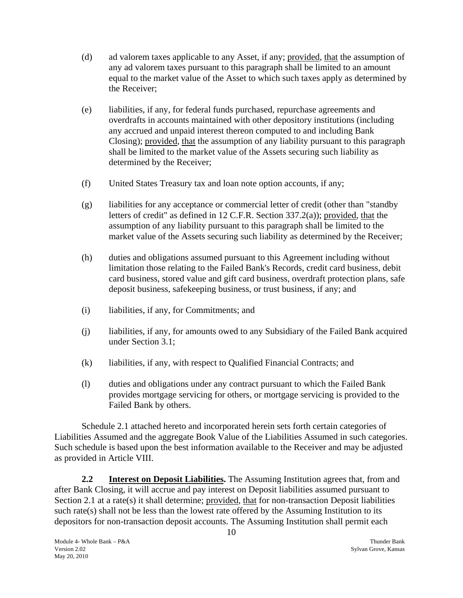- <span id="page-13-0"></span>(d) ad valorem taxes applicable to any Asset, if any; provided, that the assumption of any ad valorem taxes pursuant to this paragraph shall be limited to an amount equal to the market value of the Asset to which such taxes apply as determined by the Receiver;
- (e) liabilities, if any, for federal funds purchased, repurchase agreements and overdrafts in accounts maintained with other depository institutions (including any accrued and unpaid interest thereon computed to and including Bank Closing); provided, that the assumption of any liability pursuant to this paragraph shall be limited to the market value of the Assets securing such liability as determined by the Receiver;
- (f) United States Treasury tax and loan note option accounts, if any;
- (g) liabilities for any acceptance or commercial letter of credit (other than "standby letters of credit" as defined in 12 C.F.R. Section 337.2(a)); provided, that the assumption of any liability pursuant to this paragraph shall be limited to the market value of the Assets securing such liability as determined by the Receiver;
- (h) duties and obligations assumed pursuant to this Agreement including without limitation those relating to the Failed Bank's Records, credit card business, debit card business, stored value and gift card business, overdraft protection plans, safe deposit business, safekeeping business, or trust business, if any; and
- (i) liabilities, if any, for Commitments; and
- (j) liabilities, if any, for amounts owed to any Subsidiary of the Failed Bank acquired under Section 3.1;
- (k) liabilities, if any, with respect to Qualified Financial Contracts; and
- (l) duties and obligations under any contract pursuant to which the Failed Bank provides mortgage servicing for others, or mortgage servicing is provided to the Failed Bank by others.

Schedule 2.1 attached hereto and incorporated herein sets forth certain categories of Liabilities Assumed and the aggregate Book Value of the Liabilities Assumed in such categories. Such schedule is based upon the best information available to the Receiver and may be adjusted as provided in Article VIII.

**2.2 Interest on Deposit Liabilities.** The Assuming Institution agrees that, from and after Bank Closing, it will accrue and pay interest on Deposit liabilities assumed pursuant to Section 2.1 at a rate(s) it shall determine; provided, that for non-transaction Deposit liabilities such rate(s) shall not be less than the lowest rate offered by the Assuming Institution to its depositors for non-transaction deposit accounts. The Assuming Institution shall permit each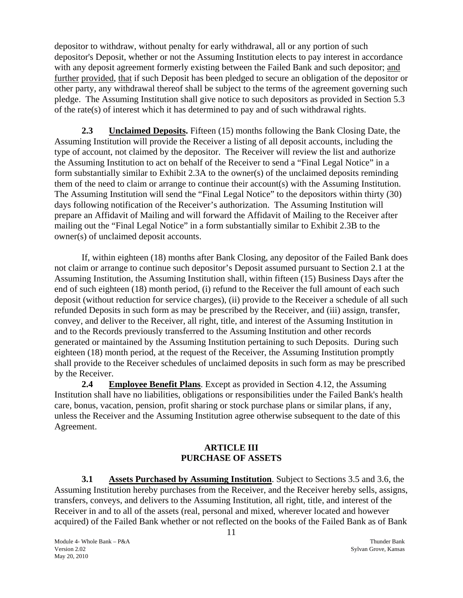<span id="page-14-0"></span>depositor to withdraw, without penalty for early withdrawal, all or any portion of such depositor's Deposit, whether or not the Assuming Institution elects to pay interest in accordance with any deposit agreement formerly existing between the Failed Bank and such depositor; and further provided, that if such Deposit has been pledged to secure an obligation of the depositor or other party, any withdrawal thereof shall be subject to the terms of the agreement governing such pledge. The Assuming Institution shall give notice to such depositors as provided in Section 5.3 of the rate(s) of interest which it has determined to pay and of such withdrawal rights.

**2.3 Unclaimed Deposits.** Fifteen (15) months following the Bank Closing Date, the Assuming Institution will provide the Receiver a listing of all deposit accounts, including the type of account, not claimed by the depositor. The Receiver will review the list and authorize the Assuming Institution to act on behalf of the Receiver to send a "Final Legal Notice" in a form substantially similar to Exhibit 2.3A to the owner(s) of the unclaimed deposits reminding them of the need to claim or arrange to continue their account(s) with the Assuming Institution. The Assuming Institution will send the "Final Legal Notice" to the depositors within thirty (30) days following notification of the Receiver's authorization. The Assuming Institution will prepare an Affidavit of Mailing and will forward the Affidavit of Mailing to the Receiver after mailing out the "Final Legal Notice" in a form substantially similar to Exhibit 2.3B to the owner(s) of unclaimed deposit accounts.

If, within eighteen (18) months after Bank Closing, any depositor of the Failed Bank does not claim or arrange to continue such depositor's Deposit assumed pursuant to Section 2.1 at the Assuming Institution, the Assuming Institution shall, within fifteen (15) Business Days after the end of such eighteen (18) month period, (i) refund to the Receiver the full amount of each such deposit (without reduction for service charges), (ii) provide to the Receiver a schedule of all such refunded Deposits in such form as may be prescribed by the Receiver, and (iii) assign, transfer, convey, and deliver to the Receiver, all right, title, and interest of the Assuming Institution in and to the Records previously transferred to the Assuming Institution and other records generated or maintained by the Assuming Institution pertaining to such Deposits. During such eighteen (18) month period, at the request of the Receiver, the Assuming Institution promptly shall provide to the Receiver schedules of unclaimed deposits in such form as may be prescribed by the Receiver.

**2.4 Employee Benefit Plans**. Except as provided in Section 4.12, the Assuming Institution shall have no liabilities, obligations or responsibilities under the Failed Bank's health care, bonus, vacation, pension, profit sharing or stock purchase plans or similar plans, if any, unless the Receiver and the Assuming Institution agree otherwise subsequent to the date of this Agreement.

#### **ARTICLE III PURCHASE OF ASSETS**

 **3.1 Assets Purchased by Assuming Institution**. Subject to Sections 3.5 and 3.6, the Assuming Institution hereby purchases from the Receiver, and the Receiver hereby sells, assigns, transfers, conveys, and delivers to the Assuming Institution, all right, title, and interest of the Receiver in and to all of the assets (real, personal and mixed, wherever located and however acquired) of the Failed Bank whether or not reflected on the books of the Failed Bank as of Bank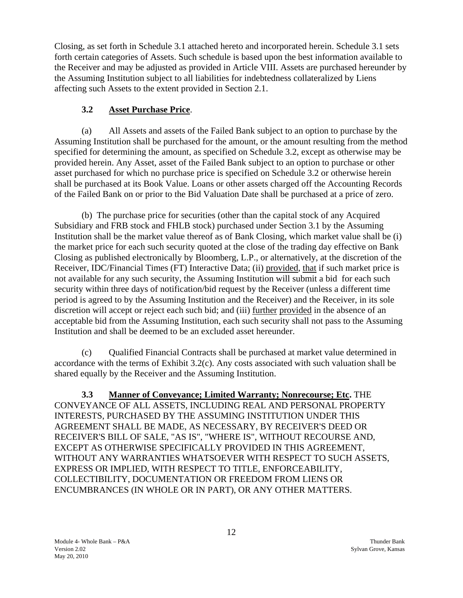<span id="page-15-0"></span>Closing, as set forth in Schedule 3.1 attached hereto and incorporated herein. Schedule 3.1 sets forth certain categories of Assets. Such schedule is based upon the best information available to the Receiver and may be adjusted as provided in Article VIII. Assets are purchased hereunder by the Assuming Institution subject to all liabilities for indebtedness collateralized by Liens affecting such Assets to the extent provided in Section 2.1.

# **3.2 Asset Purchase Price**.

(a) All Assets and assets of the Failed Bank subject to an option to purchase by the Assuming Institution shall be purchased for the amount, or the amount resulting from the method specified for determining the amount, as specified on Schedule 3.2, except as otherwise may be provided herein. Any Asset, asset of the Failed Bank subject to an option to purchase or other asset purchased for which no purchase price is specified on Schedule 3.2 or otherwise herein shall be purchased at its Book Value. Loans or other assets charged off the Accounting Records of the Failed Bank on or prior to the Bid Valuation Date shall be purchased at a price of zero.

(b) The purchase price for securities (other than the capital stock of any Acquired Subsidiary and FRB stock and FHLB stock) purchased under Section 3.1 by the Assuming Institution shall be the market value thereof as of Bank Closing, which market value shall be (i) the market price for each such security quoted at the close of the trading day effective on Bank Closing as published electronically by Bloomberg, L.P., or alternatively, at the discretion of the Receiver, IDC/Financial Times (FT) Interactive Data; (ii) provided, that if such market price is not available for any such security, the Assuming Institution will submit a bid for each such security within three days of notification/bid request by the Receiver (unless a different time period is agreed to by the Assuming Institution and the Receiver) and the Receiver, in its sole discretion will accept or reject each such bid; and (iii) further provided in the absence of an acceptable bid from the Assuming Institution, each such security shall not pass to the Assuming Institution and shall be deemed to be an excluded asset hereunder.

(c) Qualified Financial Contracts shall be purchased at market value determined in accordance with the terms of Exhibit 3.2(c). Any costs associated with such valuation shall be shared equally by the Receiver and the Assuming Institution.

**3.3 Manner of Conveyance; Limited Warranty; Nonrecourse; Etc.** THE CONVEYANCE OF ALL ASSETS, INCLUDING REAL AND PERSONAL PROPERTY INTERESTS, PURCHASED BY THE ASSUMING INSTITUTION UNDER THIS AGREEMENT SHALL BE MADE, AS NECESSARY, BY RECEIVER'S DEED OR RECEIVER'S BILL OF SALE, "AS IS", "WHERE IS", WITHOUT RECOURSE AND, EXCEPT AS OTHERWISE SPECIFICALLY PROVIDED IN THIS AGREEMENT, WITHOUT ANY WARRANTIES WHATSOEVER WITH RESPECT TO SUCH ASSETS, EXPRESS OR IMPLIED, WITH RESPECT TO TITLE, ENFORCEABILITY, COLLECTIBILITY, DOCUMENTATION OR FREEDOM FROM LIENS OR ENCUMBRANCES (IN WHOLE OR IN PART), OR ANY OTHER MATTERS.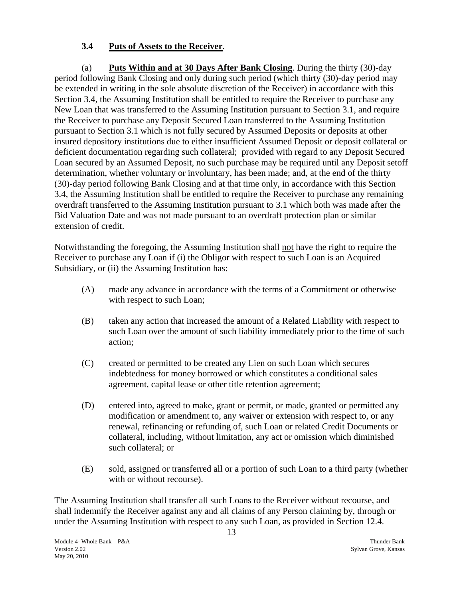# **3.4 Puts of Assets to the Receiver**.

<span id="page-16-0"></span>(a) **Puts Within and at 30 Days After Bank Closing**. During the thirty (30)-day period following Bank Closing and only during such period (which thirty (30)-day period may be extended in writing in the sole absolute discretion of the Receiver) in accordance with this Section 3.4, the Assuming Institution shall be entitled to require the Receiver to purchase any New Loan that was transferred to the Assuming Institution pursuant to Section 3.1, and require the Receiver to purchase any Deposit Secured Loan transferred to the Assuming Institution pursuant to Section 3.1 which is not fully secured by Assumed Deposits or deposits at other insured depository institutions due to either insufficient Assumed Deposit or deposit collateral or deficient documentation regarding such collateral; provided with regard to any Deposit Secured Loan secured by an Assumed Deposit, no such purchase may be required until any Deposit setoff determination, whether voluntary or involuntary, has been made; and, at the end of the thirty (30)-day period following Bank Closing and at that time only, in accordance with this Section 3.4, the Assuming Institution shall be entitled to require the Receiver to purchase any remaining overdraft transferred to the Assuming Institution pursuant to 3.1 which both was made after the Bid Valuation Date and was not made pursuant to an overdraft protection plan or similar extension of credit.

Notwithstanding the foregoing, the Assuming Institution shall not have the right to require the Receiver to purchase any Loan if (i) the Obligor with respect to such Loan is an Acquired Subsidiary, or (ii) the Assuming Institution has:

- (A) made any advance in accordance with the terms of a Commitment or otherwise with respect to such Loan;
- (B) taken any action that increased the amount of a Related Liability with respect to such Loan over the amount of such liability immediately prior to the time of such action;
- (C) created or permitted to be created any Lien on such Loan which secures indebtedness for money borrowed or which constitutes a conditional sales agreement, capital lease or other title retention agreement;
- (D) entered into, agreed to make, grant or permit, or made, granted or permitted any modification or amendment to, any waiver or extension with respect to, or any renewal, refinancing or refunding of, such Loan or related Credit Documents or collateral, including, without limitation, any act or omission which diminished such collateral; or
- (E) sold, assigned or transferred all or a portion of such Loan to a third party (whether with or without recourse).

The Assuming Institution shall transfer all such Loans to the Receiver without recourse, and shall indemnify the Receiver against any and all claims of any Person claiming by, through or under the Assuming Institution with respect to any such Loan, as provided in Section 12.4.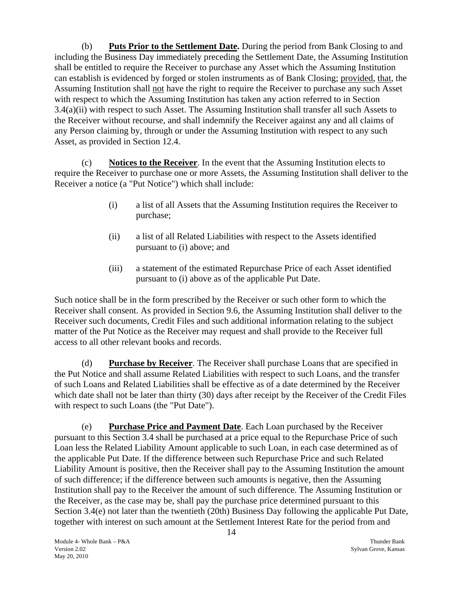(b) **Puts Prior to the Settlement Date.** During the period from Bank Closing to and including the Business Day immediately preceding the Settlement Date, the Assuming Institution shall be entitled to require the Receiver to purchase any Asset which the Assuming Institution can establish is evidenced by forged or stolen instruments as of Bank Closing; provided, that, the Assuming Institution shall not have the right to require the Receiver to purchase any such Asset with respect to which the Assuming Institution has taken any action referred to in Section 3.4(a)(ii) with respect to such Asset. The Assuming Institution shall transfer all such Assets to the Receiver without recourse, and shall indemnify the Receiver against any and all claims of any Person claiming by, through or under the Assuming Institution with respect to any such Asset, as provided in Section 12.4.

(c) **Notices to the Receiver**. In the event that the Assuming Institution elects to require the Receiver to purchase one or more Assets, the Assuming Institution shall deliver to the Receiver a notice (a "Put Notice") which shall include:

- (i) a list of all Assets that the Assuming Institution requires the Receiver to purchase;
- (ii) a list of all Related Liabilities with respect to the Assets identified pursuant to (i) above; and
- (iii) a statement of the estimated Repurchase Price of each Asset identified pursuant to (i) above as of the applicable Put Date.

Such notice shall be in the form prescribed by the Receiver or such other form to which the Receiver shall consent. As provided in Section 9.6, the Assuming Institution shall deliver to the Receiver such documents, Credit Files and such additional information relating to the subject matter of the Put Notice as the Receiver may request and shall provide to the Receiver full access to all other relevant books and records.

(d) **Purchase by Receiver**. The Receiver shall purchase Loans that are specified in the Put Notice and shall assume Related Liabilities with respect to such Loans, and the transfer of such Loans and Related Liabilities shall be effective as of a date determined by the Receiver which date shall not be later than thirty (30) days after receipt by the Receiver of the Credit Files with respect to such Loans (the "Put Date").

(e) **Purchase Price and Payment Date**. Each Loan purchased by the Receiver pursuant to this Section 3.4 shall be purchased at a price equal to the Repurchase Price of such Loan less the Related Liability Amount applicable to such Loan, in each case determined as of the applicable Put Date. If the difference between such Repurchase Price and such Related Liability Amount is positive, then the Receiver shall pay to the Assuming Institution the amount of such difference; if the difference between such amounts is negative, then the Assuming Institution shall pay to the Receiver the amount of such difference. The Assuming Institution or the Receiver, as the case may be, shall pay the purchase price determined pursuant to this Section 3.4(e) not later than the twentieth (20th) Business Day following the applicable Put Date, together with interest on such amount at the Settlement Interest Rate for the period from and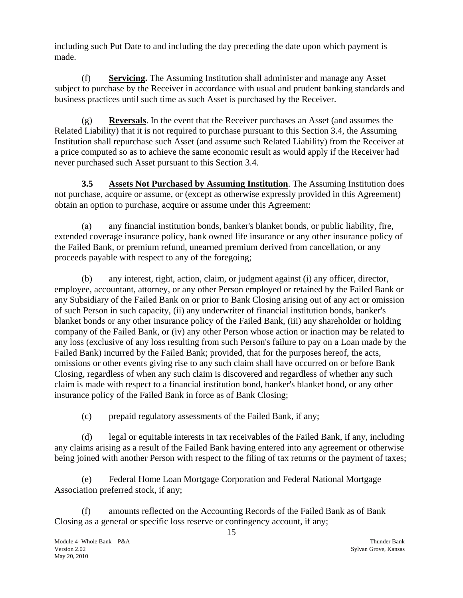including such Put Date to and including the day preceding the date upon which payment is made.

(f) **Servicing.** The Assuming Institution shall administer and manage any Asset subject to purchase by the Receiver in accordance with usual and prudent banking standards and business practices until such time as such Asset is purchased by the Receiver.

(g) **Reversals**. In the event that the Receiver purchases an Asset (and assumes the Related Liability) that it is not required to purchase pursuant to this Section 3.4, the Assuming Institution shall repurchase such Asset (and assume such Related Liability) from the Receiver at a price computed so as to achieve the same economic result as would apply if the Receiver had never purchased such Asset pursuant to this Section 3.4.

**3.5 Assets Not Purchased by Assuming Institution**. The Assuming Institution does not purchase, acquire or assume, or (except as otherwise expressly provided in this Agreement) obtain an option to purchase, acquire or assume under this Agreement:

(a) any financial institution bonds, banker's blanket bonds, or public liability, fire, extended coverage insurance policy, bank owned life insurance or any other insurance policy of the Failed Bank, or premium refund, unearned premium derived from cancellation, or any proceeds payable with respect to any of the foregoing;

(b) any interest, right, action, claim, or judgment against (i) any officer, director, employee, accountant, attorney, or any other Person employed or retained by the Failed Bank or any Subsidiary of the Failed Bank on or prior to Bank Closing arising out of any act or omission of such Person in such capacity, (ii) any underwriter of financial institution bonds, banker's blanket bonds or any other insurance policy of the Failed Bank, (iii) any shareholder or holding company of the Failed Bank, or (iv) any other Person whose action or inaction may be related to any loss (exclusive of any loss resulting from such Person's failure to pay on a Loan made by the Failed Bank) incurred by the Failed Bank; provided, that for the purposes hereof, the acts, omissions or other events giving rise to any such claim shall have occurred on or before Bank Closing, regardless of when any such claim is discovered and regardless of whether any such claim is made with respect to a financial institution bond, banker's blanket bond, or any other insurance policy of the Failed Bank in force as of Bank Closing;

(c) prepaid regulatory assessments of the Failed Bank, if any;

(d) legal or equitable interests in tax receivables of the Failed Bank, if any, including any claims arising as a result of the Failed Bank having entered into any agreement or otherwise being joined with another Person with respect to the filing of tax returns or the payment of taxes;

(e) Federal Home Loan Mortgage Corporation and Federal National Mortgage Association preferred stock, if any;

(f) amounts reflected on the Accounting Records of the Failed Bank as of Bank Closing as a general or specific loss reserve or contingency account, if any;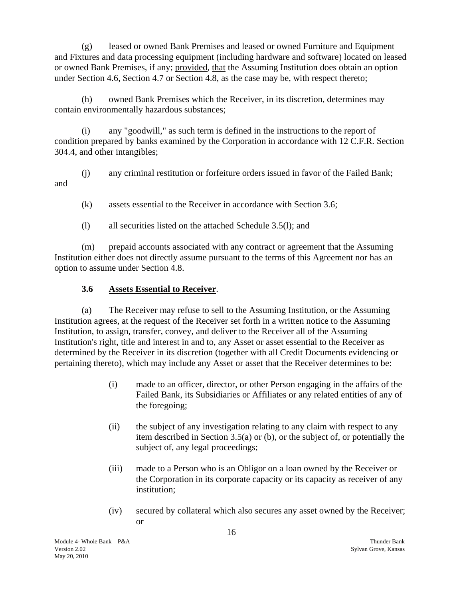(g) leased or owned Bank Premises and leased or owned Furniture and Equipment and Fixtures and data processing equipment (including hardware and software) located on leased or owned Bank Premises, if any; provided, that the Assuming Institution does obtain an option under Section 4.6, Section 4.7 or Section 4.8, as the case may be, with respect thereto;

(h) owned Bank Premises which the Receiver, in its discretion, determines may contain environmentally hazardous substances;

(i) any "goodwill," as such term is defined in the instructions to the report of condition prepared by banks examined by the Corporation in accordance with 12 C.F.R. Section 304.4, and other intangibles;

(j) any criminal restitution or forfeiture orders issued in favor of the Failed Bank; and

(k) assets essential to the Receiver in accordance with Section 3.6;

(l) all securities listed on the attached Schedule 3.5(l); and

(m) prepaid accounts associated with any contract or agreement that the Assuming Institution either does not directly assume pursuant to the terms of this Agreement nor has an option to assume under Section 4.8.

## **3.6 Assets Essential to Receiver**.

(a) The Receiver may refuse to sell to the Assuming Institution, or the Assuming Institution agrees, at the request of the Receiver set forth in a written notice to the Assuming Institution, to assign, transfer, convey, and deliver to the Receiver all of the Assuming Institution's right, title and interest in and to, any Asset or asset essential to the Receiver as determined by the Receiver in its discretion (together with all Credit Documents evidencing or pertaining thereto), which may include any Asset or asset that the Receiver determines to be:

- (i) made to an officer, director, or other Person engaging in the affairs of the Failed Bank, its Subsidiaries or Affiliates or any related entities of any of the foregoing;
- (ii) the subject of any investigation relating to any claim with respect to any item described in Section 3.5(a) or (b), or the subject of, or potentially the subject of, any legal proceedings;
- (iii) made to a Person who is an Obligor on a loan owned by the Receiver or the Corporation in its corporate capacity or its capacity as receiver of any institution;
- (iv) secured by collateral which also secures any asset owned by the Receiver; or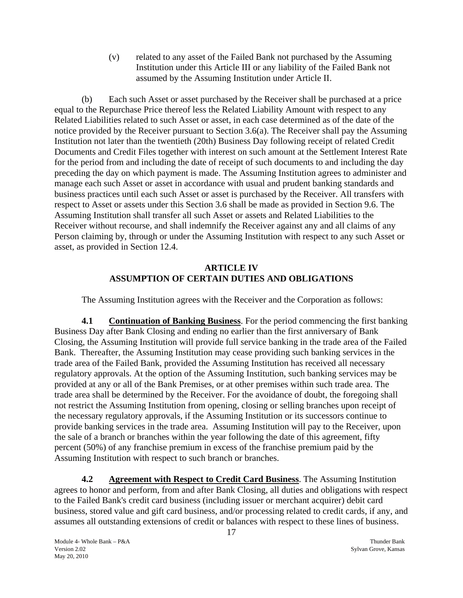(v) related to any asset of the Failed Bank not purchased by the Assuming Institution under this Article III or any liability of the Failed Bank not assumed by the Assuming Institution under Article II.

<span id="page-20-0"></span>(b) Each such Asset or asset purchased by the Receiver shall be purchased at a price equal to the Repurchase Price thereof less the Related Liability Amount with respect to any Related Liabilities related to such Asset or asset, in each case determined as of the date of the notice provided by the Receiver pursuant to Section 3.6(a). The Receiver shall pay the Assuming Institution not later than the twentieth (20th) Business Day following receipt of related Credit Documents and Credit Files together with interest on such amount at the Settlement Interest Rate for the period from and including the date of receipt of such documents to and including the day preceding the day on which payment is made. The Assuming Institution agrees to administer and manage each such Asset or asset in accordance with usual and prudent banking standards and business practices until each such Asset or asset is purchased by the Receiver. All transfers with respect to Asset or assets under this Section 3.6 shall be made as provided in Section 9.6. The Assuming Institution shall transfer all such Asset or assets and Related Liabilities to the Receiver without recourse, and shall indemnify the Receiver against any and all claims of any Person claiming by, through or under the Assuming Institution with respect to any such Asset or asset, as provided in Section 12.4.

## **ARTICLE IV ASSUMPTION OF CERTAIN DUTIES AND OBLIGATIONS**

The Assuming Institution agrees with the Receiver and the Corporation as follows:

**4.1 Continuation of Banking Business**. For the period commencing the first banking Business Day after Bank Closing and ending no earlier than the first anniversary of Bank Closing, the Assuming Institution will provide full service banking in the trade area of the Failed Bank. Thereafter, the Assuming Institution may cease providing such banking services in the trade area of the Failed Bank, provided the Assuming Institution has received all necessary regulatory approvals. At the option of the Assuming Institution, such banking services may be provided at any or all of the Bank Premises, or at other premises within such trade area. The trade area shall be determined by the Receiver. For the avoidance of doubt, the foregoing shall not restrict the Assuming Institution from opening, closing or selling branches upon receipt of the necessary regulatory approvals, if the Assuming Institution or its successors continue to provide banking services in the trade area. Assuming Institution will pay to the Receiver, upon the sale of a branch or branches within the year following the date of this agreement, fifty percent (50%) of any franchise premium in excess of the franchise premium paid by the Assuming Institution with respect to such branch or branches.

**4.2 Agreement with Respect to Credit Card Business**. The Assuming Institution agrees to honor and perform, from and after Bank Closing, all duties and obligations with respect to the Failed Bank's credit card business (including issuer or merchant acquirer) debit card business, stored value and gift card business, and/or processing related to credit cards, if any, and assumes all outstanding extensions of credit or balances with respect to these lines of business.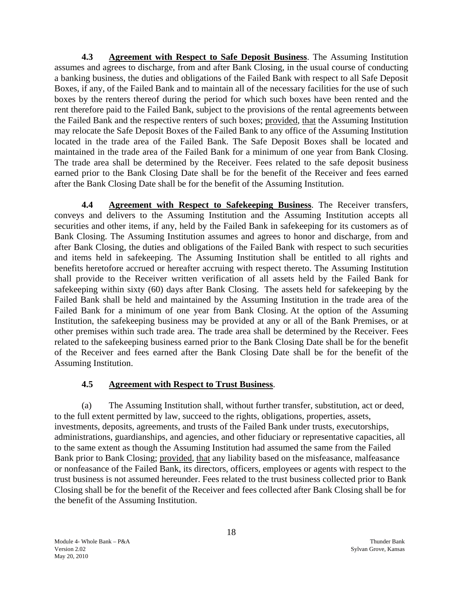<span id="page-21-0"></span> **4.3 Agreement with Respect to Safe Deposit Business**. The Assuming Institution assumes and agrees to discharge, from and after Bank Closing, in the usual course of conducting a banking business, the duties and obligations of the Failed Bank with respect to all Safe Deposit Boxes, if any, of the Failed Bank and to maintain all of the necessary facilities for the use of such boxes by the renters thereof during the period for which such boxes have been rented and the rent therefore paid to the Failed Bank, subject to the provisions of the rental agreements between the Failed Bank and the respective renters of such boxes; provided, that the Assuming Institution may relocate the Safe Deposit Boxes of the Failed Bank to any office of the Assuming Institution located in the trade area of the Failed Bank. The Safe Deposit Boxes shall be located and maintained in the trade area of the Failed Bank for a minimum of one year from Bank Closing. The trade area shall be determined by the Receiver. Fees related to the safe deposit business earned prior to the Bank Closing Date shall be for the benefit of the Receiver and fees earned after the Bank Closing Date shall be for the benefit of the Assuming Institution.

**4.4 Agreement with Respect to Safekeeping Business**. The Receiver transfers, conveys and delivers to the Assuming Institution and the Assuming Institution accepts all securities and other items, if any, held by the Failed Bank in safekeeping for its customers as of Bank Closing. The Assuming Institution assumes and agrees to honor and discharge, from and after Bank Closing, the duties and obligations of the Failed Bank with respect to such securities and items held in safekeeping. The Assuming Institution shall be entitled to all rights and benefits heretofore accrued or hereafter accruing with respect thereto. The Assuming Institution shall provide to the Receiver written verification of all assets held by the Failed Bank for safekeeping within sixty (60) days after Bank Closing. The assets held for safekeeping by the Failed Bank shall be held and maintained by the Assuming Institution in the trade area of the Failed Bank for a minimum of one year from Bank Closing. At the option of the Assuming Institution, the safekeeping business may be provided at any or all of the Bank Premises, or at other premises within such trade area. The trade area shall be determined by the Receiver. Fees related to the safekeeping business earned prior to the Bank Closing Date shall be for the benefit of the Receiver and fees earned after the Bank Closing Date shall be for the benefit of the Assuming Institution.

# **4.5 Agreement with Respect to Trust Business**.

(a) The Assuming Institution shall, without further transfer, substitution, act or deed, to the full extent permitted by law, succeed to the rights, obligations, properties, assets, investments, deposits, agreements, and trusts of the Failed Bank under trusts, executorships, administrations, guardianships, and agencies, and other fiduciary or representative capacities, all to the same extent as though the Assuming Institution had assumed the same from the Failed Bank prior to Bank Closing; provided, that any liability based on the misfeasance, malfeasance or nonfeasance of the Failed Bank, its directors, officers, employees or agents with respect to the trust business is not assumed hereunder. Fees related to the trust business collected prior to Bank Closing shall be for the benefit of the Receiver and fees collected after Bank Closing shall be for the benefit of the Assuming Institution.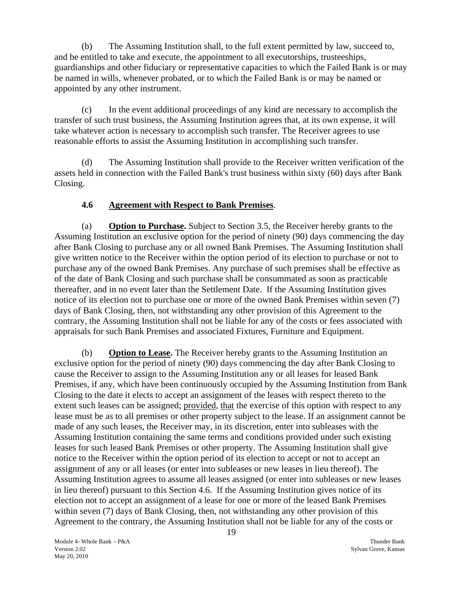<span id="page-22-0"></span>(b) The Assuming Institution shall, to the full extent permitted by law, succeed to, and be entitled to take and execute, the appointment to all executorships, trusteeships, guardianships and other fiduciary or representative capacities to which the Failed Bank is or may be named in wills, whenever probated, or to which the Failed Bank is or may be named or appointed by any other instrument.

(c) In the event additional proceedings of any kind are necessary to accomplish the transfer of such trust business, the Assuming Institution agrees that, at its own expense, it will take whatever action is necessary to accomplish such transfer. The Receiver agrees to use reasonable efforts to assist the Assuming Institution in accomplishing such transfer.

(d) The Assuming Institution shall provide to the Receiver written verification of the assets held in connection with the Failed Bank's trust business within sixty (60) days after Bank Closing.

## **4.6 Agreement with Respect to Bank Premises**.

(a) **Option to Purchase.** Subject to Section 3.5, the Receiver hereby grants to the Assuming Institution an exclusive option for the period of ninety (90) days commencing the day after Bank Closing to purchase any or all owned Bank Premises. The Assuming Institution shall give written notice to the Receiver within the option period of its election to purchase or not to purchase any of the owned Bank Premises. Any purchase of such premises shall be effective as of the date of Bank Closing and such purchase shall be consummated as soon as practicable thereafter, and in no event later than the Settlement Date. If the Assuming Institution gives notice of its election not to purchase one or more of the owned Bank Premises within seven (7) days of Bank Closing, then, not withstanding any other provision of this Agreement to the contrary, the Assuming Institution shall not be liable for any of the costs or fees associated with appraisals for such Bank Premises and associated Fixtures, Furniture and Equipment.

(b) **Option to Lease.** The Receiver hereby grants to the Assuming Institution an exclusive option for the period of ninety (90) days commencing the day after Bank Closing to cause the Receiver to assign to the Assuming Institution any or all leases for leased Bank Premises, if any, which have been continuously occupied by the Assuming Institution from Bank Closing to the date it elects to accept an assignment of the leases with respect thereto to the extent such leases can be assigned; provided, that the exercise of this option with respect to any lease must be as to all premises or other property subject to the lease. If an assignment cannot be made of any such leases, the Receiver may, in its discretion, enter into subleases with the Assuming Institution containing the same terms and conditions provided under such existing leases for such leased Bank Premises or other property. The Assuming Institution shall give notice to the Receiver within the option period of its election to accept or not to accept an assignment of any or all leases (or enter into subleases or new leases in lieu thereof). The Assuming Institution agrees to assume all leases assigned (or enter into subleases or new leases in lieu thereof) pursuant to this Section 4.6. If the Assuming Institution gives notice of its election not to accept an assignment of a lease for one or more of the leased Bank Premises within seven (7) days of Bank Closing, then, not withstanding any other provision of this Agreement to the contrary, the Assuming Institution shall not be liable for any of the costs or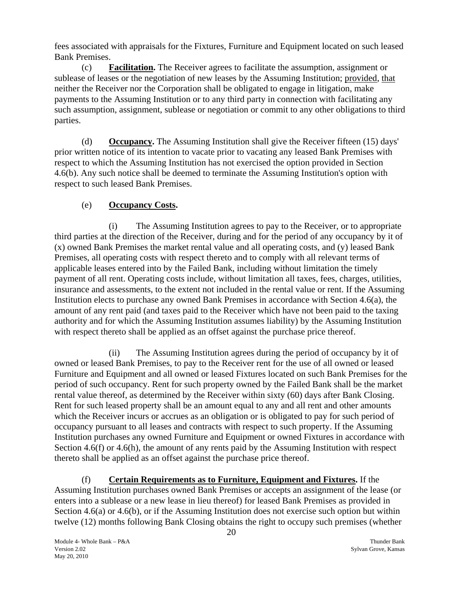fees associated with appraisals for the Fixtures, Furniture and Equipment located on such leased Bank Premises.

(c) **Facilitation.** The Receiver agrees to facilitate the assumption, assignment or sublease of leases or the negotiation of new leases by the Assuming Institution; provided, that neither the Receiver nor the Corporation shall be obligated to engage in litigation, make payments to the Assuming Institution or to any third party in connection with facilitating any such assumption, assignment, sublease or negotiation or commit to any other obligations to third parties.

(d) **Occupancy.** The Assuming Institution shall give the Receiver fifteen (15) days' prior written notice of its intention to vacate prior to vacating any leased Bank Premises with respect to which the Assuming Institution has not exercised the option provided in Section 4.6(b). Any such notice shall be deemed to terminate the Assuming Institution's option with respect to such leased Bank Premises.

# (e) **Occupancy Costs.**

(i) The Assuming Institution agrees to pay to the Receiver, or to appropriate third parties at the direction of the Receiver, during and for the period of any occupancy by it of (x) owned Bank Premises the market rental value and all operating costs, and (y) leased Bank Premises, all operating costs with respect thereto and to comply with all relevant terms of applicable leases entered into by the Failed Bank, including without limitation the timely payment of all rent. Operating costs include, without limitation all taxes, fees, charges, utilities, insurance and assessments, to the extent not included in the rental value or rent. If the Assuming Institution elects to purchase any owned Bank Premises in accordance with Section 4.6(a), the amount of any rent paid (and taxes paid to the Receiver which have not been paid to the taxing authority and for which the Assuming Institution assumes liability) by the Assuming Institution with respect thereto shall be applied as an offset against the purchase price thereof.

(ii) The Assuming Institution agrees during the period of occupancy by it of owned or leased Bank Premises, to pay to the Receiver rent for the use of all owned or leased Furniture and Equipment and all owned or leased Fixtures located on such Bank Premises for the period of such occupancy. Rent for such property owned by the Failed Bank shall be the market rental value thereof, as determined by the Receiver within sixty (60) days after Bank Closing. Rent for such leased property shall be an amount equal to any and all rent and other amounts which the Receiver incurs or accrues as an obligation or is obligated to pay for such period of occupancy pursuant to all leases and contracts with respect to such property. If the Assuming Institution purchases any owned Furniture and Equipment or owned Fixtures in accordance with Section 4.6(f) or 4.6(h), the amount of any rents paid by the Assuming Institution with respect thereto shall be applied as an offset against the purchase price thereof.

(f) **Certain Requirements as to Furniture, Equipment and Fixtures.** If the Assuming Institution purchases owned Bank Premises or accepts an assignment of the lease (or enters into a sublease or a new lease in lieu thereof) for leased Bank Premises as provided in Section 4.6(a) or 4.6(b), or if the Assuming Institution does not exercise such option but within twelve (12) months following Bank Closing obtains the right to occupy such premises (whether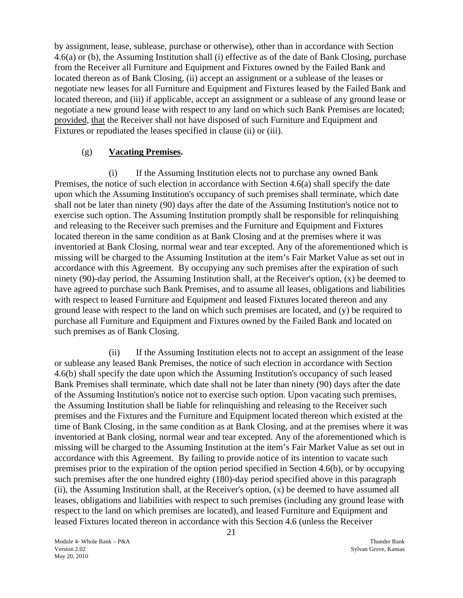by assignment, lease, sublease, purchase or otherwise), other than in accordance with Section 4.6(a) or (b), the Assuming Institution shall (i) effective as of the date of Bank Closing, purchase from the Receiver all Furniture and Equipment and Fixtures owned by the Failed Bank and located thereon as of Bank Closing, (ii) accept an assignment or a sublease of the leases or negotiate new leases for all Furniture and Equipment and Fixtures leased by the Failed Bank and located thereon, and (iii) if applicable, accept an assignment or a sublease of any ground lease or negotiate a new ground lease with respect to any land on which such Bank Premises are located; provided, that the Receiver shall not have disposed of such Furniture and Equipment and Fixtures or repudiated the leases specified in clause (ii) or (iii).

#### (g) **Vacating Premises.**

(i) If the Assuming Institution elects not to purchase any owned Bank Premises, the notice of such election in accordance with Section 4.6(a) shall specify the date upon which the Assuming Institution's occupancy of such premises shall terminate, which date shall not be later than ninety (90) days after the date of the Assuming Institution's notice not to exercise such option. The Assuming Institution promptly shall be responsible for relinquishing and releasing to the Receiver such premises and the Furniture and Equipment and Fixtures located thereon in the same condition as at Bank Closing and at the premises where it was inventoried at Bank Closing, normal wear and tear excepted. Any of the aforementioned which is missing will be charged to the Assuming Institution at the item's Fair Market Value as set out in accordance with this Agreement. By occupying any such premises after the expiration of such ninety (90)-day period, the Assuming Institution shall, at the Receiver's option, (x) be deemed to have agreed to purchase such Bank Premises, and to assume all leases, obligations and liabilities with respect to leased Furniture and Equipment and leased Fixtures located thereon and any ground lease with respect to the land on which such premises are located, and (y) be required to purchase all Furniture and Equipment and Fixtures owned by the Failed Bank and located on such premises as of Bank Closing.

(ii) If the Assuming Institution elects not to accept an assignment of the lease or sublease any leased Bank Premises, the notice of such election in accordance with Section 4.6(b) shall specify the date upon which the Assuming Institution's occupancy of such leased Bank Premises shall terminate, which date shall not be later than ninety (90) days after the date of the Assuming Institution's notice not to exercise such option. Upon vacating such premises, the Assuming Institution shall be liable for relinquishing and releasing to the Receiver such premises and the Fixtures and the Furniture and Equipment located thereon which existed at the time of Bank Closing, in the same condition as at Bank Closing, and at the premises where it was inventoried at Bank closing, normal wear and tear excepted. Any of the aforementioned which is missing will be charged to the Assuming Institution at the item's Fair Market Value as set out in accordance with this Agreement. By failing to provide notice of its intention to vacate such premises prior to the expiration of the option period specified in Section 4.6(b), or by occupying such premises after the one hundred eighty (180)-day period specified above in this paragraph  $(ii)$ , the Assuming Institution shall, at the Receiver's option,  $(x)$  be deemed to have assumed all leases, obligations and liabilities with respect to such premises (including any ground lease with respect to the land on which premises are located), and leased Furniture and Equipment and leased Fixtures located thereon in accordance with this Section 4.6 (unless the Receiver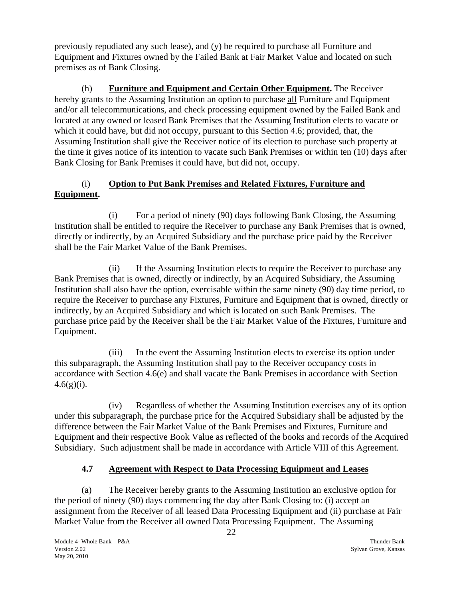<span id="page-25-0"></span>previously repudiated any such lease), and (y) be required to purchase all Furniture and Equipment and Fixtures owned by the Failed Bank at Fair Market Value and located on such premises as of Bank Closing.

(h) **Furniture and Equipment and Certain Other Equipment.** The Receiver hereby grants to the Assuming Institution an option to purchase all Furniture and Equipment and/or all telecommunications, and check processing equipment owned by the Failed Bank and located at any owned or leased Bank Premises that the Assuming Institution elects to vacate or which it could have, but did not occupy, pursuant to this Section 4.6; provided, that, the Assuming Institution shall give the Receiver notice of its election to purchase such property at the time it gives notice of its intention to vacate such Bank Premises or within ten (10) days after Bank Closing for Bank Premises it could have, but did not, occupy.

# (i) **Option to Put Bank Premises and Related Fixtures, Furniture and Equipment.**

(i) For a period of ninety (90) days following Bank Closing, the Assuming Institution shall be entitled to require the Receiver to purchase any Bank Premises that is owned, directly or indirectly, by an Acquired Subsidiary and the purchase price paid by the Receiver shall be the Fair Market Value of the Bank Premises.

(ii) If the Assuming Institution elects to require the Receiver to purchase any Bank Premises that is owned, directly or indirectly, by an Acquired Subsidiary, the Assuming Institution shall also have the option, exercisable within the same ninety (90) day time period, to require the Receiver to purchase any Fixtures, Furniture and Equipment that is owned, directly or indirectly, by an Acquired Subsidiary and which is located on such Bank Premises. The purchase price paid by the Receiver shall be the Fair Market Value of the Fixtures, Furniture and Equipment.

(iii) In the event the Assuming Institution elects to exercise its option under this subparagraph, the Assuming Institution shall pay to the Receiver occupancy costs in accordance with Section 4.6(e) and shall vacate the Bank Premises in accordance with Section  $4.6(g)(i)$ .

(iv) Regardless of whether the Assuming Institution exercises any of its option under this subparagraph, the purchase price for the Acquired Subsidiary shall be adjusted by the difference between the Fair Market Value of the Bank Premises and Fixtures, Furniture and Equipment and their respective Book Value as reflected of the books and records of the Acquired Subsidiary. Such adjustment shall be made in accordance with Article VIII of this Agreement.

# **4.7 Agreement with Respect to Data Processing Equipment and Leases**

(a) The Receiver hereby grants to the Assuming Institution an exclusive option for the period of ninety (90) days commencing the day after Bank Closing to: (i) accept an assignment from the Receiver of all leased Data Processing Equipment and (ii) purchase at Fair Market Value from the Receiver all owned Data Processing Equipment. The Assuming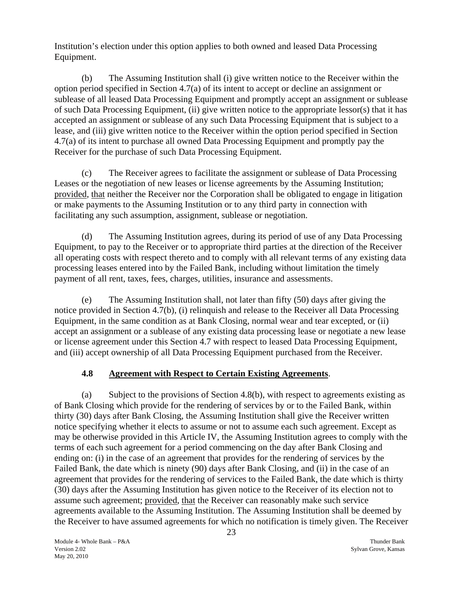Institution's election under this option applies to both owned and leased Data Processing Equipment.

(b) The Assuming Institution shall (i) give written notice to the Receiver within the option period specified in Section 4.7(a) of its intent to accept or decline an assignment or sublease of all leased Data Processing Equipment and promptly accept an assignment or sublease of such Data Processing Equipment, (ii) give written notice to the appropriate lessor(s) that it has accepted an assignment or sublease of any such Data Processing Equipment that is subject to a lease, and (iii) give written notice to the Receiver within the option period specified in Section 4.7(a) of its intent to purchase all owned Data Processing Equipment and promptly pay the Receiver for the purchase of such Data Processing Equipment.

(c) The Receiver agrees to facilitate the assignment or sublease of Data Processing Leases or the negotiation of new leases or license agreements by the Assuming Institution; provided, that neither the Receiver nor the Corporation shall be obligated to engage in litigation or make payments to the Assuming Institution or to any third party in connection with facilitating any such assumption, assignment, sublease or negotiation.

(d) The Assuming Institution agrees, during its period of use of any Data Processing Equipment, to pay to the Receiver or to appropriate third parties at the direction of the Receiver all operating costs with respect thereto and to comply with all relevant terms of any existing data processing leases entered into by the Failed Bank, including without limitation the timely payment of all rent, taxes, fees, charges, utilities, insurance and assessments.

(e) The Assuming Institution shall, not later than fifty (50) days after giving the notice provided in Section 4.7(b), (i) relinquish and release to the Receiver all Data Processing Equipment, in the same condition as at Bank Closing, normal wear and tear excepted, or (ii) accept an assignment or a sublease of any existing data processing lease or negotiate a new lease or license agreement under this Section 4.7 with respect to leased Data Processing Equipment, and (iii) accept ownership of all Data Processing Equipment purchased from the Receiver.

# **4.8 Agreement with Respect to Certain Existing Agreements**.

(a) Subject to the provisions of Section 4.8(b), with respect to agreements existing as of Bank Closing which provide for the rendering of services by or to the Failed Bank, within thirty (30) days after Bank Closing, the Assuming Institution shall give the Receiver written notice specifying whether it elects to assume or not to assume each such agreement. Except as may be otherwise provided in this Article IV, the Assuming Institution agrees to comply with the terms of each such agreement for a period commencing on the day after Bank Closing and ending on: (i) in the case of an agreement that provides for the rendering of services by the Failed Bank, the date which is ninety (90) days after Bank Closing, and (ii) in the case of an agreement that provides for the rendering of services to the Failed Bank, the date which is thirty (30) days after the Assuming Institution has given notice to the Receiver of its election not to assume such agreement; provided, that the Receiver can reasonably make such service agreements available to the Assuming Institution. The Assuming Institution shall be deemed by the Receiver to have assumed agreements for which no notification is timely given. The Receiver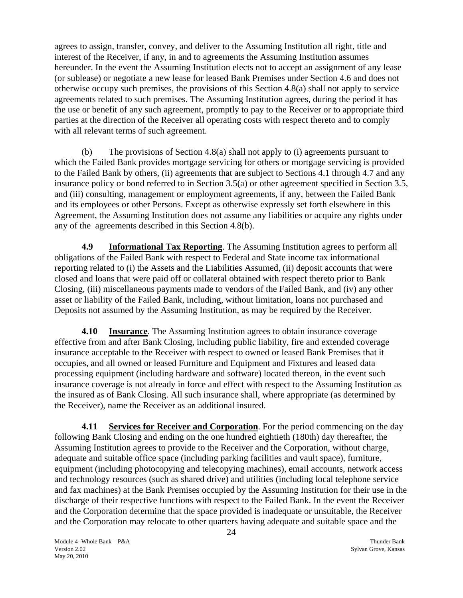<span id="page-27-0"></span>agrees to assign, transfer, convey, and deliver to the Assuming Institution all right, title and interest of the Receiver, if any, in and to agreements the Assuming Institution assumes hereunder. In the event the Assuming Institution elects not to accept an assignment of any lease (or sublease) or negotiate a new lease for leased Bank Premises under Section 4.6 and does not otherwise occupy such premises, the provisions of this Section 4.8(a) shall not apply to service agreements related to such premises. The Assuming Institution agrees, during the period it has the use or benefit of any such agreement, promptly to pay to the Receiver or to appropriate third parties at the direction of the Receiver all operating costs with respect thereto and to comply with all relevant terms of such agreement.

(b) The provisions of Section 4.8(a) shall not apply to (i) agreements pursuant to which the Failed Bank provides mortgage servicing for others or mortgage servicing is provided to the Failed Bank by others, (ii) agreements that are subject to Sections 4.1 through 4.7 and any insurance policy or bond referred to in Section 3.5(a) or other agreement specified in Section 3.5, and (iii) consulting, management or employment agreements, if any, between the Failed Bank and its employees or other Persons. Except as otherwise expressly set forth elsewhere in this Agreement, the Assuming Institution does not assume any liabilities or acquire any rights under any of the agreements described in this Section 4.8(b).

**4.9 Informational Tax Reporting**. The Assuming Institution agrees to perform all obligations of the Failed Bank with respect to Federal and State income tax informational reporting related to (i) the Assets and the Liabilities Assumed, (ii) deposit accounts that were closed and loans that were paid off or collateral obtained with respect thereto prior to Bank Closing, (iii) miscellaneous payments made to vendors of the Failed Bank, and (iv) any other asset or liability of the Failed Bank, including, without limitation, loans not purchased and Deposits not assumed by the Assuming Institution, as may be required by the Receiver.

**4.10 Insurance**. The Assuming Institution agrees to obtain insurance coverage effective from and after Bank Closing, including public liability, fire and extended coverage insurance acceptable to the Receiver with respect to owned or leased Bank Premises that it occupies, and all owned or leased Furniture and Equipment and Fixtures and leased data processing equipment (including hardware and software) located thereon, in the event such insurance coverage is not already in force and effect with respect to the Assuming Institution as the insured as of Bank Closing. All such insurance shall, where appropriate (as determined by the Receiver), name the Receiver as an additional insured.

**4.11 Services for Receiver and Corporation**. For the period commencing on the day following Bank Closing and ending on the one hundred eightieth (180th) day thereafter, the Assuming Institution agrees to provide to the Receiver and the Corporation, without charge, adequate and suitable office space (including parking facilities and vault space), furniture, equipment (including photocopying and telecopying machines), email accounts, network access and technology resources (such as shared drive) and utilities (including local telephone service and fax machines) at the Bank Premises occupied by the Assuming Institution for their use in the discharge of their respective functions with respect to the Failed Bank. In the event the Receiver and the Corporation determine that the space provided is inadequate or unsuitable, the Receiver and the Corporation may relocate to other quarters having adequate and suitable space and the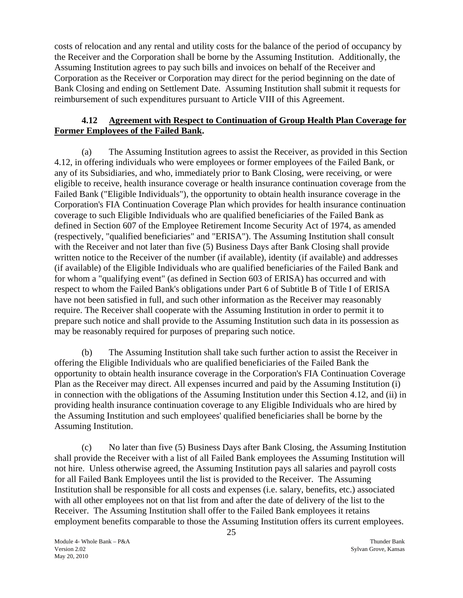<span id="page-28-0"></span>costs of relocation and any rental and utility costs for the balance of the period of occupancy by the Receiver and the Corporation shall be borne by the Assuming Institution. Additionally, the Assuming Institution agrees to pay such bills and invoices on behalf of the Receiver and Corporation as the Receiver or Corporation may direct for the period beginning on the date of Bank Closing and ending on Settlement Date. Assuming Institution shall submit it requests for reimbursement of such expenditures pursuant to Article VIII of this Agreement.

### **4.12 Agreement with Respect to Continuation of Group Health Plan Coverage for Former Employees of the Failed Bank.**

(a) The Assuming Institution agrees to assist the Receiver, as provided in this Section 4.12, in offering individuals who were employees or former employees of the Failed Bank, or any of its Subsidiaries, and who, immediately prior to Bank Closing, were receiving, or were eligible to receive, health insurance coverage or health insurance continuation coverage from the Failed Bank ("Eligible Individuals"), the opportunity to obtain health insurance coverage in the Corporation's FIA Continuation Coverage Plan which provides for health insurance continuation coverage to such Eligible Individuals who are qualified beneficiaries of the Failed Bank as defined in Section 607 of the Employee Retirement Income Security Act of 1974, as amended (respectively, "qualified beneficiaries" and "ERISA"). The Assuming Institution shall consult with the Receiver and not later than five (5) Business Days after Bank Closing shall provide written notice to the Receiver of the number (if available), identity (if available) and addresses (if available) of the Eligible Individuals who are qualified beneficiaries of the Failed Bank and for whom a "qualifying event" (as defined in Section 603 of ERISA) has occurred and with respect to whom the Failed Bank's obligations under Part 6 of Subtitle B of Title I of ERISA have not been satisfied in full, and such other information as the Receiver may reasonably require. The Receiver shall cooperate with the Assuming Institution in order to permit it to prepare such notice and shall provide to the Assuming Institution such data in its possession as may be reasonably required for purposes of preparing such notice.

(b) The Assuming Institution shall take such further action to assist the Receiver in offering the Eligible Individuals who are qualified beneficiaries of the Failed Bank the opportunity to obtain health insurance coverage in the Corporation's FIA Continuation Coverage Plan as the Receiver may direct. All expenses incurred and paid by the Assuming Institution (i) in connection with the obligations of the Assuming Institution under this Section 4.12, and (ii) in providing health insurance continuation coverage to any Eligible Individuals who are hired by the Assuming Institution and such employees' qualified beneficiaries shall be borne by the Assuming Institution.

(c) No later than five (5) Business Days after Bank Closing, the Assuming Institution shall provide the Receiver with a list of all Failed Bank employees the Assuming Institution will not hire. Unless otherwise agreed, the Assuming Institution pays all salaries and payroll costs for all Failed Bank Employees until the list is provided to the Receiver. The Assuming Institution shall be responsible for all costs and expenses (i.e. salary, benefits, etc.) associated with all other employees not on that list from and after the date of delivery of the list to the Receiver. The Assuming Institution shall offer to the Failed Bank employees it retains employment benefits comparable to those the Assuming Institution offers its current employees.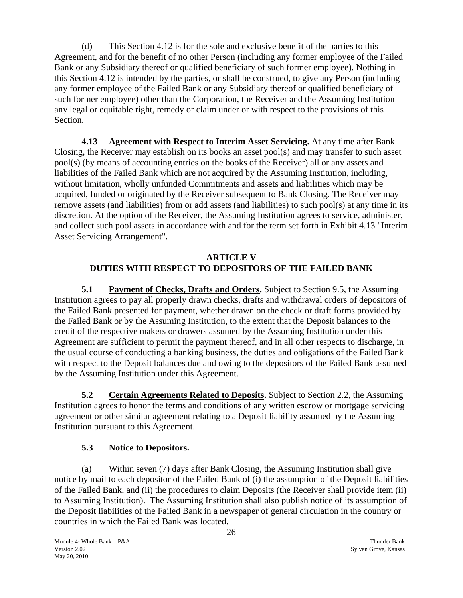<span id="page-29-0"></span>(d) This Section 4.12 is for the sole and exclusive benefit of the parties to this Agreement, and for the benefit of no other Person (including any former employee of the Failed Bank or any Subsidiary thereof or qualified beneficiary of such former employee). Nothing in this Section 4.12 is intended by the parties, or shall be construed, to give any Person (including any former employee of the Failed Bank or any Subsidiary thereof or qualified beneficiary of such former employee) other than the Corporation, the Receiver and the Assuming Institution any legal or equitable right, remedy or claim under or with respect to the provisions of this Section.

**4.13 Agreement with Respect to Interim Asset Servicing.** At any time after Bank Closing, the Receiver may establish on its books an asset pool(s) and may transfer to such asset pool(s) (by means of accounting entries on the books of the Receiver) all or any assets and liabilities of the Failed Bank which are not acquired by the Assuming Institution, including, without limitation, wholly unfunded Commitments and assets and liabilities which may be acquired, funded or originated by the Receiver subsequent to Bank Closing. The Receiver may remove assets (and liabilities) from or add assets (and liabilities) to such pool(s) at any time in its discretion. At the option of the Receiver, the Assuming Institution agrees to service, administer, and collect such pool assets in accordance with and for the term set forth in Exhibit 4.13 "Interim Asset Servicing Arrangement".

# **ARTICLE V DUTIES WITH RESPECT TO DEPOSITORS OF THE FAILED BANK**

**5.1** Payment of Checks, Drafts and Orders. Subject to Section 9.5, the Assuming Institution agrees to pay all properly drawn checks, drafts and withdrawal orders of depositors of the Failed Bank presented for payment, whether drawn on the check or draft forms provided by the Failed Bank or by the Assuming Institution, to the extent that the Deposit balances to the credit of the respective makers or drawers assumed by the Assuming Institution under this Agreement are sufficient to permit the payment thereof, and in all other respects to discharge, in the usual course of conducting a banking business, the duties and obligations of the Failed Bank with respect to the Deposit balances due and owing to the depositors of the Failed Bank assumed by the Assuming Institution under this Agreement.

**5.2 Certain Agreements Related to Deposits.** Subject to Section 2.2, the Assuming Institution agrees to honor the terms and conditions of any written escrow or mortgage servicing agreement or other similar agreement relating to a Deposit liability assumed by the Assuming Institution pursuant to this Agreement.

# **5.3 Notice to Depositors.**

(a) Within seven (7) days after Bank Closing, the Assuming Institution shall give notice by mail to each depositor of the Failed Bank of (i) the assumption of the Deposit liabilities of the Failed Bank, and (ii) the procedures to claim Deposits (the Receiver shall provide item (ii) to Assuming Institution). The Assuming Institution shall also publish notice of its assumption of the Deposit liabilities of the Failed Bank in a newspaper of general circulation in the country or countries in which the Failed Bank was located.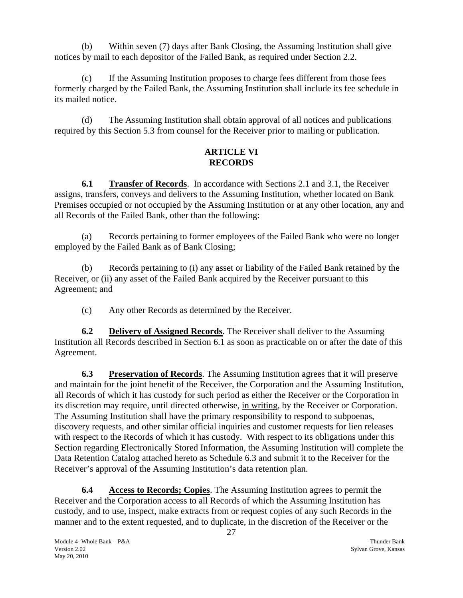<span id="page-30-0"></span>(b) Within seven (7) days after Bank Closing, the Assuming Institution shall give notices by mail to each depositor of the Failed Bank, as required under Section 2.2.

(c) If the Assuming Institution proposes to charge fees different from those fees formerly charged by the Failed Bank, the Assuming Institution shall include its fee schedule in its mailed notice.

(d) The Assuming Institution shall obtain approval of all notices and publications required by this Section 5.3 from counsel for the Receiver prior to mailing or publication.

# **ARTICLE VI RECORDS**

 **6.1 Transfer of Records**. In accordance with Sections 2.1 and 3.1, the Receiver assigns, transfers, conveys and delivers to the Assuming Institution, whether located on Bank Premises occupied or not occupied by the Assuming Institution or at any other location, any and all Records of the Failed Bank, other than the following:

(a) Records pertaining to former employees of the Failed Bank who were no longer employed by the Failed Bank as of Bank Closing;

(b) Records pertaining to (i) any asset or liability of the Failed Bank retained by the Receiver, or (ii) any asset of the Failed Bank acquired by the Receiver pursuant to this Agreement; and

(c) Any other Records as determined by the Receiver.

**6.2** Delivery of Assigned Records. The Receiver shall deliver to the Assuming Institution all Records described in Section 6.1 as soon as practicable on or after the date of this Agreement.

**6.3 Preservation of Records**. The Assuming Institution agrees that it will preserve and maintain for the joint benefit of the Receiver, the Corporation and the Assuming Institution, all Records of which it has custody for such period as either the Receiver or the Corporation in its discretion may require, until directed otherwise, in writing, by the Receiver or Corporation. The Assuming Institution shall have the primary responsibility to respond to subpoenas, discovery requests, and other similar official inquiries and customer requests for lien releases with respect to the Records of which it has custody. With respect to its obligations under this Section regarding Electronically Stored Information, the Assuming Institution will complete the Data Retention Catalog attached hereto as Schedule 6.3 and submit it to the Receiver for the Receiver's approval of the Assuming Institution's data retention plan.

**6.4 Access to Records; Copies**. The Assuming Institution agrees to permit the Receiver and the Corporation access to all Records of which the Assuming Institution has custody, and to use, inspect, make extracts from or request copies of any such Records in the manner and to the extent requested, and to duplicate, in the discretion of the Receiver or the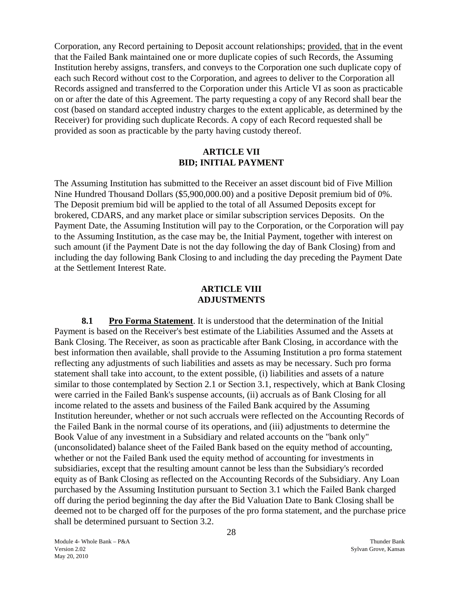<span id="page-31-0"></span>Corporation, any Record pertaining to Deposit account relationships; provided, that in the event that the Failed Bank maintained one or more duplicate copies of such Records, the Assuming Institution hereby assigns, transfers, and conveys to the Corporation one such duplicate copy of each such Record without cost to the Corporation, and agrees to deliver to the Corporation all Records assigned and transferred to the Corporation under this Article VI as soon as practicable on or after the date of this Agreement. The party requesting a copy of any Record shall bear the cost (based on standard accepted industry charges to the extent applicable, as determined by the Receiver) for providing such duplicate Records. A copy of each Record requested shall be provided as soon as practicable by the party having custody thereof.

#### **ARTICLE VII BID; INITIAL PAYMENT**

The Assuming Institution has submitted to the Receiver an asset discount bid of Five Million Nine Hundred Thousand Dollars (\$5,900,000.00) and a positive Deposit premium bid of 0%. The Deposit premium bid will be applied to the total of all Assumed Deposits except for brokered, CDARS, and any market place or similar subscription services Deposits. On the Payment Date, the Assuming Institution will pay to the Corporation, or the Corporation will pay to the Assuming Institution, as the case may be, the Initial Payment, together with interest on such amount (if the Payment Date is not the day following the day of Bank Closing) from and including the day following Bank Closing to and including the day preceding the Payment Date at the Settlement Interest Rate.

#### **ARTICLE VIII ADJUSTMENTS**

**8.1 Pro Forma Statement**. It is understood that the determination of the Initial Payment is based on the Receiver's best estimate of the Liabilities Assumed and the Assets at Bank Closing. The Receiver, as soon as practicable after Bank Closing, in accordance with the best information then available, shall provide to the Assuming Institution a pro forma statement reflecting any adjustments of such liabilities and assets as may be necessary. Such pro forma statement shall take into account, to the extent possible, (i) liabilities and assets of a nature similar to those contemplated by Section 2.1 or Section 3.1, respectively, which at Bank Closing were carried in the Failed Bank's suspense accounts, (ii) accruals as of Bank Closing for all income related to the assets and business of the Failed Bank acquired by the Assuming Institution hereunder, whether or not such accruals were reflected on the Accounting Records of the Failed Bank in the normal course of its operations, and (iii) adjustments to determine the Book Value of any investment in a Subsidiary and related accounts on the "bank only" (unconsolidated) balance sheet of the Failed Bank based on the equity method of accounting, whether or not the Failed Bank used the equity method of accounting for investments in subsidiaries, except that the resulting amount cannot be less than the Subsidiary's recorded equity as of Bank Closing as reflected on the Accounting Records of the Subsidiary. Any Loan purchased by the Assuming Institution pursuant to Section 3.1 which the Failed Bank charged off during the period beginning the day after the Bid Valuation Date to Bank Closing shall be deemed not to be charged off for the purposes of the pro forma statement, and the purchase price shall be determined pursuant to Section 3.2.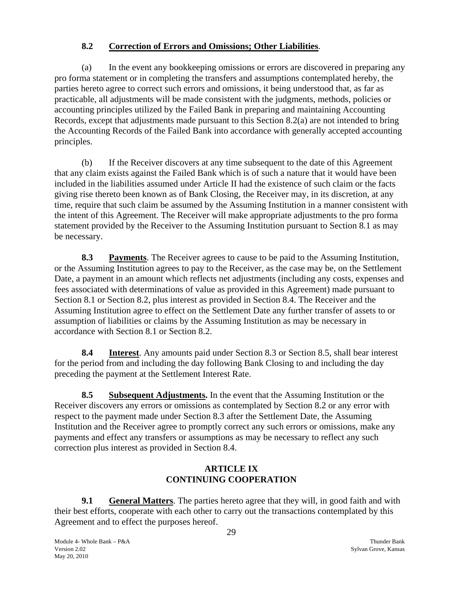# **8.2 Correction of Errors and Omissions; Other Liabilities**.

<span id="page-32-0"></span>(a) In the event any bookkeeping omissions or errors are discovered in preparing any pro forma statement or in completing the transfers and assumptions contemplated hereby, the parties hereto agree to correct such errors and omissions, it being understood that, as far as practicable, all adjustments will be made consistent with the judgments, methods, policies or accounting principles utilized by the Failed Bank in preparing and maintaining Accounting Records, except that adjustments made pursuant to this Section 8.2(a) are not intended to bring the Accounting Records of the Failed Bank into accordance with generally accepted accounting principles.

(b) If the Receiver discovers at any time subsequent to the date of this Agreement that any claim exists against the Failed Bank which is of such a nature that it would have been included in the liabilities assumed under Article II had the existence of such claim or the facts giving rise thereto been known as of Bank Closing, the Receiver may, in its discretion, at any time, require that such claim be assumed by the Assuming Institution in a manner consistent with the intent of this Agreement. The Receiver will make appropriate adjustments to the pro forma statement provided by the Receiver to the Assuming Institution pursuant to Section 8.1 as may be necessary.

**8.3 Payments**. The Receiver agrees to cause to be paid to the Assuming Institution, or the Assuming Institution agrees to pay to the Receiver, as the case may be, on the Settlement Date, a payment in an amount which reflects net adjustments (including any costs, expenses and fees associated with determinations of value as provided in this Agreement) made pursuant to Section 8.1 or Section 8.2, plus interest as provided in Section 8.4. The Receiver and the Assuming Institution agree to effect on the Settlement Date any further transfer of assets to or assumption of liabilities or claims by the Assuming Institution as may be necessary in accordance with Section 8.1 or Section 8.2.

**8.4 Interest**. Any amounts paid under Section 8.3 or Section 8.5, shall bear interest for the period from and including the day following Bank Closing to and including the day preceding the payment at the Settlement Interest Rate.

**8.5 Subsequent Adjustments.** In the event that the Assuming Institution or the Receiver discovers any errors or omissions as contemplated by Section 8.2 or any error with respect to the payment made under Section 8.3 after the Settlement Date, the Assuming Institution and the Receiver agree to promptly correct any such errors or omissions, make any payments and effect any transfers or assumptions as may be necessary to reflect any such correction plus interest as provided in Section 8.4.

# **ARTICLE IX CONTINUING COOPERATION**

**9.1** General Matters. The parties hereto agree that they will, in good faith and with their best efforts, cooperate with each other to carry out the transactions contemplated by this Agreement and to effect the purposes hereof.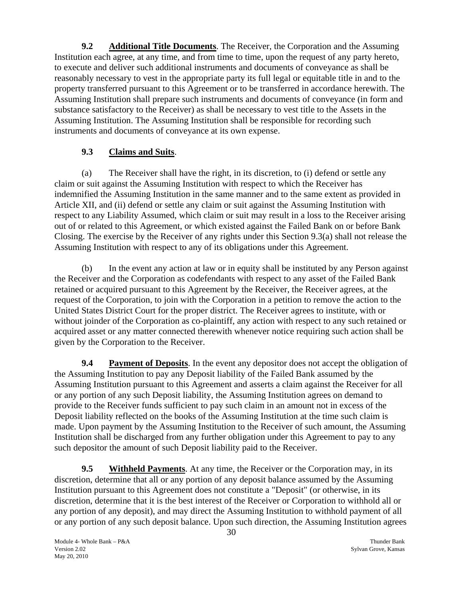<span id="page-33-0"></span>**9.2 Additional Title Documents**. The Receiver, the Corporation and the Assuming Institution each agree, at any time, and from time to time, upon the request of any party hereto, to execute and deliver such additional instruments and documents of conveyance as shall be reasonably necessary to vest in the appropriate party its full legal or equitable title in and to the property transferred pursuant to this Agreement or to be transferred in accordance herewith. The Assuming Institution shall prepare such instruments and documents of conveyance (in form and substance satisfactory to the Receiver) as shall be necessary to vest title to the Assets in the Assuming Institution. The Assuming Institution shall be responsible for recording such instruments and documents of conveyance at its own expense.

# **9.3 Claims and Suits**.

(a) The Receiver shall have the right, in its discretion, to (i) defend or settle any claim or suit against the Assuming Institution with respect to which the Receiver has indemnified the Assuming Institution in the same manner and to the same extent as provided in Article XII, and (ii) defend or settle any claim or suit against the Assuming Institution with respect to any Liability Assumed, which claim or suit may result in a loss to the Receiver arising out of or related to this Agreement, or which existed against the Failed Bank on or before Bank Closing. The exercise by the Receiver of any rights under this Section 9.3(a) shall not release the Assuming Institution with respect to any of its obligations under this Agreement.

(b) In the event any action at law or in equity shall be instituted by any Person against the Receiver and the Corporation as codefendants with respect to any asset of the Failed Bank retained or acquired pursuant to this Agreement by the Receiver, the Receiver agrees, at the request of the Corporation, to join with the Corporation in a petition to remove the action to the United States District Court for the proper district. The Receiver agrees to institute, with or without joinder of the Corporation as co-plaintiff, any action with respect to any such retained or acquired asset or any matter connected therewith whenever notice requiring such action shall be given by the Corporation to the Receiver.

**9.4 Payment of Deposits**. In the event any depositor does not accept the obligation of the Assuming Institution to pay any Deposit liability of the Failed Bank assumed by the Assuming Institution pursuant to this Agreement and asserts a claim against the Receiver for all or any portion of any such Deposit liability, the Assuming Institution agrees on demand to provide to the Receiver funds sufficient to pay such claim in an amount not in excess of the Deposit liability reflected on the books of the Assuming Institution at the time such claim is made. Upon payment by the Assuming Institution to the Receiver of such amount, the Assuming Institution shall be discharged from any further obligation under this Agreement to pay to any such depositor the amount of such Deposit liability paid to the Receiver.

**9.5 Withheld Payments**. At any time, the Receiver or the Corporation may, in its discretion, determine that all or any portion of any deposit balance assumed by the Assuming Institution pursuant to this Agreement does not constitute a "Deposit" (or otherwise, in its discretion, determine that it is the best interest of the Receiver or Corporation to withhold all or any portion of any deposit), and may direct the Assuming Institution to withhold payment of all or any portion of any such deposit balance. Upon such direction, the Assuming Institution agrees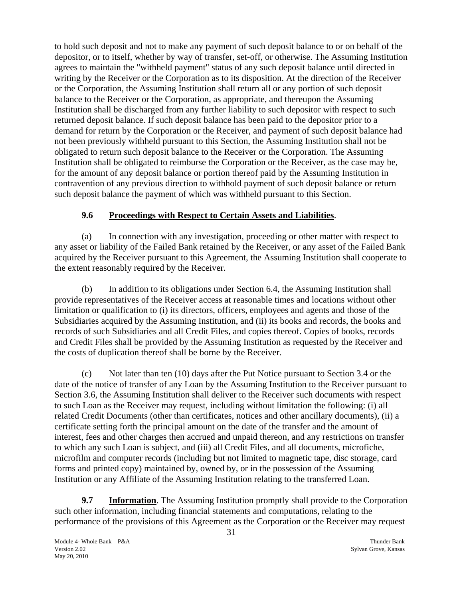<span id="page-34-0"></span>to hold such deposit and not to make any payment of such deposit balance to or on behalf of the depositor, or to itself, whether by way of transfer, set-off, or otherwise. The Assuming Institution agrees to maintain the "withheld payment" status of any such deposit balance until directed in writing by the Receiver or the Corporation as to its disposition. At the direction of the Receiver or the Corporation, the Assuming Institution shall return all or any portion of such deposit balance to the Receiver or the Corporation, as appropriate, and thereupon the Assuming Institution shall be discharged from any further liability to such depositor with respect to such returned deposit balance. If such deposit balance has been paid to the depositor prior to a demand for return by the Corporation or the Receiver, and payment of such deposit balance had not been previously withheld pursuant to this Section, the Assuming Institution shall not be obligated to return such deposit balance to the Receiver or the Corporation. The Assuming Institution shall be obligated to reimburse the Corporation or the Receiver, as the case may be, for the amount of any deposit balance or portion thereof paid by the Assuming Institution in contravention of any previous direction to withhold payment of such deposit balance or return such deposit balance the payment of which was withheld pursuant to this Section.

## **9.6 Proceedings with Respect to Certain Assets and Liabilities**.

(a) In connection with any investigation, proceeding or other matter with respect to any asset or liability of the Failed Bank retained by the Receiver, or any asset of the Failed Bank acquired by the Receiver pursuant to this Agreement, the Assuming Institution shall cooperate to the extent reasonably required by the Receiver.

(b) In addition to its obligations under Section 6.4, the Assuming Institution shall provide representatives of the Receiver access at reasonable times and locations without other limitation or qualification to (i) its directors, officers, employees and agents and those of the Subsidiaries acquired by the Assuming Institution, and (ii) its books and records, the books and records of such Subsidiaries and all Credit Files, and copies thereof. Copies of books, records and Credit Files shall be provided by the Assuming Institution as requested by the Receiver and the costs of duplication thereof shall be borne by the Receiver.

(c) Not later than ten (10) days after the Put Notice pursuant to Section 3.4 or the date of the notice of transfer of any Loan by the Assuming Institution to the Receiver pursuant to Section 3.6, the Assuming Institution shall deliver to the Receiver such documents with respect to such Loan as the Receiver may request, including without limitation the following: (i) all related Credit Documents (other than certificates, notices and other ancillary documents), (ii) a certificate setting forth the principal amount on the date of the transfer and the amount of interest, fees and other charges then accrued and unpaid thereon, and any restrictions on transfer to which any such Loan is subject, and (iii) all Credit Files, and all documents, microfiche, microfilm and computer records (including but not limited to magnetic tape, disc storage, card forms and printed copy) maintained by, owned by, or in the possession of the Assuming Institution or any Affiliate of the Assuming Institution relating to the transferred Loan.

**9.7** Information. The Assuming Institution promptly shall provide to the Corporation such other information, including financial statements and computations, relating to the performance of the provisions of this Agreement as the Corporation or the Receiver may request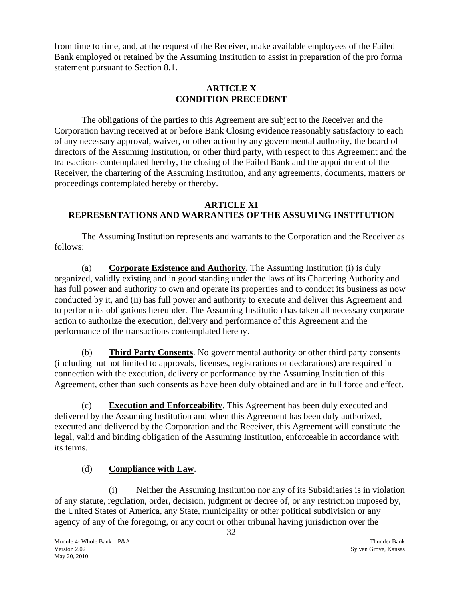<span id="page-35-0"></span>from time to time, and, at the request of the Receiver, make available employees of the Failed Bank employed or retained by the Assuming Institution to assist in preparation of the pro forma statement pursuant to Section 8.1.

### **ARTICLE X CONDITION PRECEDENT**

The obligations of the parties to this Agreement are subject to the Receiver and the Corporation having received at or before Bank Closing evidence reasonably satisfactory to each of any necessary approval, waiver, or other action by any governmental authority, the board of directors of the Assuming Institution, or other third party, with respect to this Agreement and the transactions contemplated hereby, the closing of the Failed Bank and the appointment of the Receiver, the chartering of the Assuming Institution, and any agreements, documents, matters or proceedings contemplated hereby or thereby.

#### **ARTICLE XI REPRESENTATIONS AND WARRANTIES OF THE ASSUMING INSTITUTION**

The Assuming Institution represents and warrants to the Corporation and the Receiver as follows:

(a) **Corporate Existence and Authority**. The Assuming Institution (i) is duly organized, validly existing and in good standing under the laws of its Chartering Authority and has full power and authority to own and operate its properties and to conduct its business as now conducted by it, and (ii) has full power and authority to execute and deliver this Agreement and to perform its obligations hereunder. The Assuming Institution has taken all necessary corporate action to authorize the execution, delivery and performance of this Agreement and the performance of the transactions contemplated hereby.

(b) **Third Party Consents**. No governmental authority or other third party consents (including but not limited to approvals, licenses, registrations or declarations) are required in connection with the execution, delivery or performance by the Assuming Institution of this Agreement, other than such consents as have been duly obtained and are in full force and effect.

(c) **Execution and Enforceability**. This Agreement has been duly executed and delivered by the Assuming Institution and when this Agreement has been duly authorized, executed and delivered by the Corporation and the Receiver, this Agreement will constitute the legal, valid and binding obligation of the Assuming Institution, enforceable in accordance with its terms.

# (d) **Compliance with Law**.

(i) Neither the Assuming Institution nor any of its Subsidiaries is in violation of any statute, regulation, order, decision, judgment or decree of, or any restriction imposed by, the United States of America, any State, municipality or other political subdivision or any agency of any of the foregoing, or any court or other tribunal having jurisdiction over the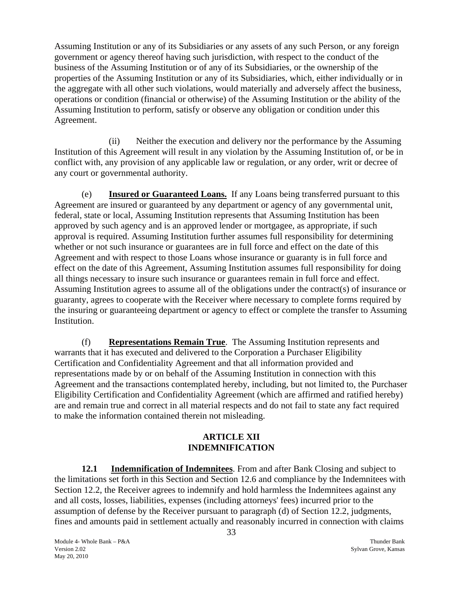<span id="page-36-0"></span>Assuming Institution or any of its Subsidiaries or any assets of any such Person, or any foreign government or agency thereof having such jurisdiction, with respect to the conduct of the business of the Assuming Institution or of any of its Subsidiaries, or the ownership of the properties of the Assuming Institution or any of its Subsidiaries, which, either individually or in the aggregate with all other such violations, would materially and adversely affect the business, operations or condition (financial or otherwise) of the Assuming Institution or the ability of the Assuming Institution to perform, satisfy or observe any obligation or condition under this Agreement.

(ii) Neither the execution and delivery nor the performance by the Assuming Institution of this Agreement will result in any violation by the Assuming Institution of, or be in conflict with, any provision of any applicable law or regulation, or any order, writ or decree of any court or governmental authority.

(e) **Insured or Guaranteed Loans.** If any Loans being transferred pursuant to this Agreement are insured or guaranteed by any department or agency of any governmental unit, federal, state or local, Assuming Institution represents that Assuming Institution has been approved by such agency and is an approved lender or mortgagee, as appropriate, if such approval is required. Assuming Institution further assumes full responsibility for determining whether or not such insurance or guarantees are in full force and effect on the date of this Agreement and with respect to those Loans whose insurance or guaranty is in full force and effect on the date of this Agreement, Assuming Institution assumes full responsibility for doing all things necessary to insure such insurance or guarantees remain in full force and effect. Assuming Institution agrees to assume all of the obligations under the contract(s) of insurance or guaranty, agrees to cooperate with the Receiver where necessary to complete forms required by the insuring or guaranteeing department or agency to effect or complete the transfer to Assuming Institution.

(f) **Representations Remain True**. The Assuming Institution represents and warrants that it has executed and delivered to the Corporation a Purchaser Eligibility Certification and Confidentiality Agreement and that all information provided and representations made by or on behalf of the Assuming Institution in connection with this Agreement and the transactions contemplated hereby, including, but not limited to, the Purchaser Eligibility Certification and Confidentiality Agreement (which are affirmed and ratified hereby) are and remain true and correct in all material respects and do not fail to state any fact required to make the information contained therein not misleading.

## **ARTICLE XII INDEMNIFICATION**

**12.1** Indemnification of Indemnitees. From and after Bank Closing and subject to the limitations set forth in this Section and Section 12.6 and compliance by the Indemnitees with Section 12.2, the Receiver agrees to indemnify and hold harmless the Indemnitees against any and all costs, losses, liabilities, expenses (including attorneys' fees) incurred prior to the assumption of defense by the Receiver pursuant to paragraph (d) of Section 12.2, judgments, fines and amounts paid in settlement actually and reasonably incurred in connection with claims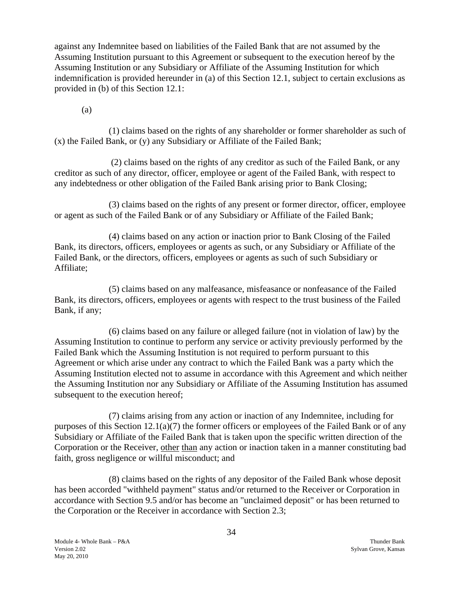against any Indemnitee based on liabilities of the Failed Bank that are not assumed by the Assuming Institution pursuant to this Agreement or subsequent to the execution hereof by the Assuming Institution or any Subsidiary or Affiliate of the Assuming Institution for which indemnification is provided hereunder in (a) of this Section 12.1, subject to certain exclusions as provided in (b) of this Section 12.1:

(a)

(1) claims based on the rights of any shareholder or former shareholder as such of (x) the Failed Bank, or (y) any Subsidiary or Affiliate of the Failed Bank;

(2) claims based on the rights of any creditor as such of the Failed Bank, or any creditor as such of any director, officer, employee or agent of the Failed Bank, with respect to any indebtedness or other obligation of the Failed Bank arising prior to Bank Closing;

(3) claims based on the rights of any present or former director, officer, employee or agent as such of the Failed Bank or of any Subsidiary or Affiliate of the Failed Bank;

(4) claims based on any action or inaction prior to Bank Closing of the Failed Bank, its directors, officers, employees or agents as such, or any Subsidiary or Affiliate of the Failed Bank, or the directors, officers, employees or agents as such of such Subsidiary or Affiliate;

(5) claims based on any malfeasance, misfeasance or nonfeasance of the Failed Bank, its directors, officers, employees or agents with respect to the trust business of the Failed Bank, if any;

(6) claims based on any failure or alleged failure (not in violation of law) by the Assuming Institution to continue to perform any service or activity previously performed by the Failed Bank which the Assuming Institution is not required to perform pursuant to this Agreement or which arise under any contract to which the Failed Bank was a party which the Assuming Institution elected not to assume in accordance with this Agreement and which neither the Assuming Institution nor any Subsidiary or Affiliate of the Assuming Institution has assumed subsequent to the execution hereof;

(7) claims arising from any action or inaction of any Indemnitee, including for purposes of this Section 12.1(a)(7) the former officers or employees of the Failed Bank or of any Subsidiary or Affiliate of the Failed Bank that is taken upon the specific written direction of the Corporation or the Receiver, other than any action or inaction taken in a manner constituting bad faith, gross negligence or willful misconduct; and

(8) claims based on the rights of any depositor of the Failed Bank whose deposit has been accorded "withheld payment" status and/or returned to the Receiver or Corporation in accordance with Section 9.5 and/or has become an "unclaimed deposit" or has been returned to the Corporation or the Receiver in accordance with Section 2.3;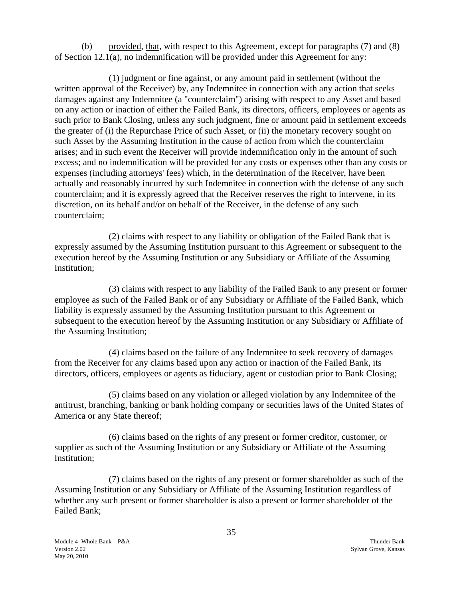(b) provided, that, with respect to this Agreement, except for paragraphs (7) and (8) of Section 12.1(a), no indemnification will be provided under this Agreement for any:

(1) judgment or fine against, or any amount paid in settlement (without the written approval of the Receiver) by, any Indemnitee in connection with any action that seeks damages against any Indemnitee (a "counterclaim") arising with respect to any Asset and based on any action or inaction of either the Failed Bank, its directors, officers, employees or agents as such prior to Bank Closing, unless any such judgment, fine or amount paid in settlement exceeds the greater of (i) the Repurchase Price of such Asset, or (ii) the monetary recovery sought on such Asset by the Assuming Institution in the cause of action from which the counterclaim arises; and in such event the Receiver will provide indemnification only in the amount of such excess; and no indemnification will be provided for any costs or expenses other than any costs or expenses (including attorneys' fees) which, in the determination of the Receiver, have been actually and reasonably incurred by such Indemnitee in connection with the defense of any such counterclaim; and it is expressly agreed that the Receiver reserves the right to intervene, in its discretion, on its behalf and/or on behalf of the Receiver, in the defense of any such counterclaim;

(2) claims with respect to any liability or obligation of the Failed Bank that is expressly assumed by the Assuming Institution pursuant to this Agreement or subsequent to the execution hereof by the Assuming Institution or any Subsidiary or Affiliate of the Assuming Institution;

(3) claims with respect to any liability of the Failed Bank to any present or former employee as such of the Failed Bank or of any Subsidiary or Affiliate of the Failed Bank, which liability is expressly assumed by the Assuming Institution pursuant to this Agreement or subsequent to the execution hereof by the Assuming Institution or any Subsidiary or Affiliate of the Assuming Institution;

(4) claims based on the failure of any Indemnitee to seek recovery of damages from the Receiver for any claims based upon any action or inaction of the Failed Bank, its directors, officers, employees or agents as fiduciary, agent or custodian prior to Bank Closing;

(5) claims based on any violation or alleged violation by any Indemnitee of the antitrust, branching, banking or bank holding company or securities laws of the United States of America or any State thereof;

(6) claims based on the rights of any present or former creditor, customer, or supplier as such of the Assuming Institution or any Subsidiary or Affiliate of the Assuming Institution;

(7) claims based on the rights of any present or former shareholder as such of the Assuming Institution or any Subsidiary or Affiliate of the Assuming Institution regardless of whether any such present or former shareholder is also a present or former shareholder of the Failed Bank;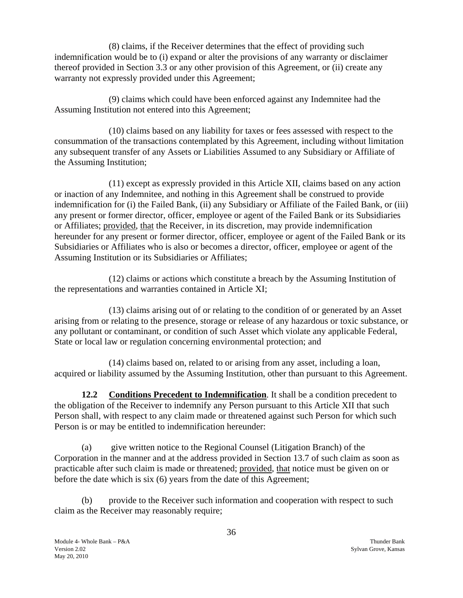<span id="page-39-0"></span>(8) claims, if the Receiver determines that the effect of providing such indemnification would be to (i) expand or alter the provisions of any warranty or disclaimer thereof provided in Section 3.3 or any other provision of this Agreement, or (ii) create any warranty not expressly provided under this Agreement;

(9) claims which could have been enforced against any Indemnitee had the Assuming Institution not entered into this Agreement;

(10) claims based on any liability for taxes or fees assessed with respect to the consummation of the transactions contemplated by this Agreement, including without limitation any subsequent transfer of any Assets or Liabilities Assumed to any Subsidiary or Affiliate of the Assuming Institution;

(11) except as expressly provided in this Article XII, claims based on any action or inaction of any Indemnitee, and nothing in this Agreement shall be construed to provide indemnification for (i) the Failed Bank, (ii) any Subsidiary or Affiliate of the Failed Bank, or (iii) any present or former director, officer, employee or agent of the Failed Bank or its Subsidiaries or Affiliates; provided, that the Receiver, in its discretion, may provide indemnification hereunder for any present or former director, officer, employee or agent of the Failed Bank or its Subsidiaries or Affiliates who is also or becomes a director, officer, employee or agent of the Assuming Institution or its Subsidiaries or Affiliates;

(12) claims or actions which constitute a breach by the Assuming Institution of the representations and warranties contained in Article XI;

(13) claims arising out of or relating to the condition of or generated by an Asset arising from or relating to the presence, storage or release of any hazardous or toxic substance, or any pollutant or contaminant, or condition of such Asset which violate any applicable Federal, State or local law or regulation concerning environmental protection; and

(14) claims based on, related to or arising from any asset, including a loan, acquired or liability assumed by the Assuming Institution, other than pursuant to this Agreement.

**12.2 Conditions Precedent to Indemnification**. It shall be a condition precedent to the obligation of the Receiver to indemnify any Person pursuant to this Article XII that such Person shall, with respect to any claim made or threatened against such Person for which such Person is or may be entitled to indemnification hereunder:

(a) give written notice to the Regional Counsel (Litigation Branch) of the Corporation in the manner and at the address provided in Section 13.7 of such claim as soon as practicable after such claim is made or threatened; provided, that notice must be given on or before the date which is six (6) years from the date of this Agreement;

(b) provide to the Receiver such information and cooperation with respect to such claim as the Receiver may reasonably require;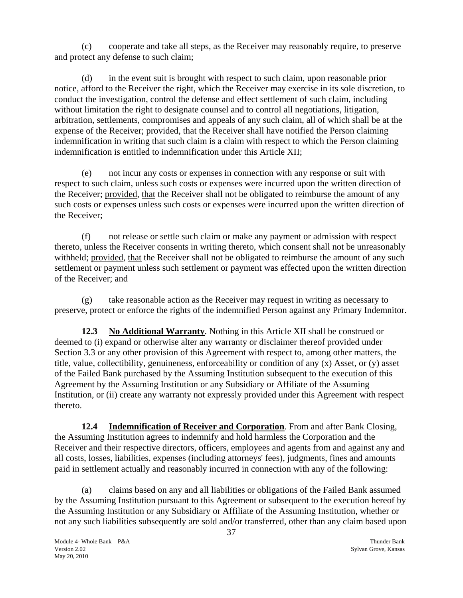<span id="page-40-0"></span>(c) cooperate and take all steps, as the Receiver may reasonably require, to preserve and protect any defense to such claim;

(d) in the event suit is brought with respect to such claim, upon reasonable prior notice, afford to the Receiver the right, which the Receiver may exercise in its sole discretion, to conduct the investigation, control the defense and effect settlement of such claim, including without limitation the right to designate counsel and to control all negotiations, litigation, arbitration, settlements, compromises and appeals of any such claim, all of which shall be at the expense of the Receiver; provided, that the Receiver shall have notified the Person claiming indemnification in writing that such claim is a claim with respect to which the Person claiming indemnification is entitled to indemnification under this Article XII;

(e) not incur any costs or expenses in connection with any response or suit with respect to such claim, unless such costs or expenses were incurred upon the written direction of the Receiver; provided, that the Receiver shall not be obligated to reimburse the amount of any such costs or expenses unless such costs or expenses were incurred upon the written direction of the Receiver;

(f) not release or settle such claim or make any payment or admission with respect thereto, unless the Receiver consents in writing thereto, which consent shall not be unreasonably withheld; provided, that the Receiver shall not be obligated to reimburse the amount of any such settlement or payment unless such settlement or payment was effected upon the written direction of the Receiver; and

(g) take reasonable action as the Receiver may request in writing as necessary to preserve, protect or enforce the rights of the indemnified Person against any Primary Indemnitor.

**12.3 No Additional Warranty**. Nothing in this Article XII shall be construed or deemed to (i) expand or otherwise alter any warranty or disclaimer thereof provided under Section 3.3 or any other provision of this Agreement with respect to, among other matters, the title, value, collectibility, genuineness, enforceability or condition of any (x) Asset, or (y) asset of the Failed Bank purchased by the Assuming Institution subsequent to the execution of this Agreement by the Assuming Institution or any Subsidiary or Affiliate of the Assuming Institution, or (ii) create any warranty not expressly provided under this Agreement with respect thereto.

**12.4 Indemnification of Receiver and Corporation**. From and after Bank Closing, the Assuming Institution agrees to indemnify and hold harmless the Corporation and the Receiver and their respective directors, officers, employees and agents from and against any and all costs, losses, liabilities, expenses (including attorneys' fees), judgments, fines and amounts paid in settlement actually and reasonably incurred in connection with any of the following:

(a) claims based on any and all liabilities or obligations of the Failed Bank assumed by the Assuming Institution pursuant to this Agreement or subsequent to the execution hereof by the Assuming Institution or any Subsidiary or Affiliate of the Assuming Institution, whether or not any such liabilities subsequently are sold and/or transferred, other than any claim based upon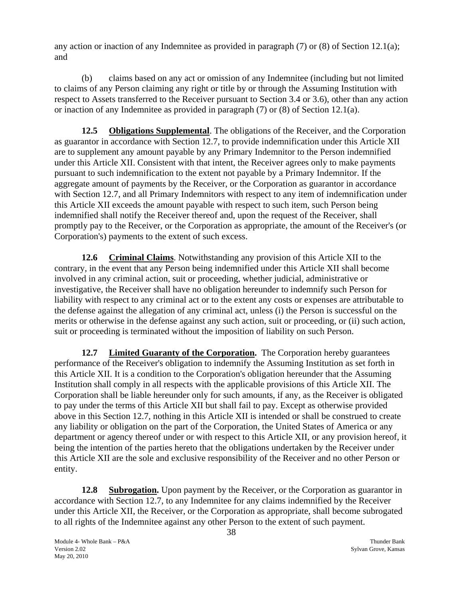<span id="page-41-0"></span>any action or inaction of any Indemnitee as provided in paragraph (7) or (8) of Section 12.1(a); and

(b) claims based on any act or omission of any Indemnitee (including but not limited to claims of any Person claiming any right or title by or through the Assuming Institution with respect to Assets transferred to the Receiver pursuant to Section 3.4 or 3.6), other than any action or inaction of any Indemnitee as provided in paragraph (7) or (8) of Section 12.1(a).

**12.5 Obligations Supplemental**. The obligations of the Receiver, and the Corporation as guarantor in accordance with Section 12.7, to provide indemnification under this Article XII are to supplement any amount payable by any Primary Indemnitor to the Person indemnified under this Article XII. Consistent with that intent, the Receiver agrees only to make payments pursuant to such indemnification to the extent not payable by a Primary Indemnitor. If the aggregate amount of payments by the Receiver, or the Corporation as guarantor in accordance with Section 12.7, and all Primary Indemnitors with respect to any item of indemnification under this Article XII exceeds the amount payable with respect to such item, such Person being indemnified shall notify the Receiver thereof and, upon the request of the Receiver, shall promptly pay to the Receiver, or the Corporation as appropriate, the amount of the Receiver's (or Corporation's) payments to the extent of such excess.

**12.6 Criminal Claims**. Notwithstanding any provision of this Article XII to the contrary, in the event that any Person being indemnified under this Article XII shall become involved in any criminal action, suit or proceeding, whether judicial, administrative or investigative, the Receiver shall have no obligation hereunder to indemnify such Person for liability with respect to any criminal act or to the extent any costs or expenses are attributable to the defense against the allegation of any criminal act, unless (i) the Person is successful on the merits or otherwise in the defense against any such action, suit or proceeding, or (ii) such action, suit or proceeding is terminated without the imposition of liability on such Person.

**12.7 Limited Guaranty of the Corporation.** The Corporation hereby guarantees performance of the Receiver's obligation to indemnify the Assuming Institution as set forth in this Article XII. It is a condition to the Corporation's obligation hereunder that the Assuming Institution shall comply in all respects with the applicable provisions of this Article XII. The Corporation shall be liable hereunder only for such amounts, if any, as the Receiver is obligated to pay under the terms of this Article XII but shall fail to pay. Except as otherwise provided above in this Section 12.7, nothing in this Article XII is intended or shall be construed to create any liability or obligation on the part of the Corporation, the United States of America or any department or agency thereof under or with respect to this Article XII, or any provision hereof, it being the intention of the parties hereto that the obligations undertaken by the Receiver under this Article XII are the sole and exclusive responsibility of the Receiver and no other Person or entity.

**12.8 Subrogation.** Upon payment by the Receiver, or the Corporation as guarantor in accordance with Section 12.7, to any Indemnitee for any claims indemnified by the Receiver under this Article XII, the Receiver, or the Corporation as appropriate, shall become subrogated to all rights of the Indemnitee against any other Person to the extent of such payment.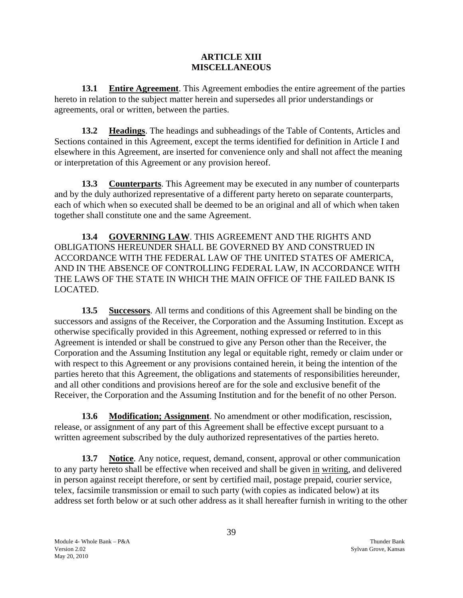#### **ARTICLE XIII MISCELLANEOUS**

<span id="page-42-0"></span>**13.1 Entire Agreement**. This Agreement embodies the entire agreement of the parties hereto in relation to the subject matter herein and supersedes all prior understandings or agreements, oral or written, between the parties.

**13.2 Headings**. The headings and subheadings of the Table of Contents, Articles and Sections contained in this Agreement, except the terms identified for definition in Article I and elsewhere in this Agreement, are inserted for convenience only and shall not affect the meaning or interpretation of this Agreement or any provision hereof.

**13.3 Counterparts**. This Agreement may be executed in any number of counterparts and by the duly authorized representative of a different party hereto on separate counterparts, each of which when so executed shall be deemed to be an original and all of which when taken together shall constitute one and the same Agreement.

13.4 **GOVERNING LAW.** THIS AGREEMENT AND THE RIGHTS AND OBLIGATIONS HEREUNDER SHALL BE GOVERNED BY AND CONSTRUED IN ACCORDANCE WITH THE FEDERAL LAW OF THE UNITED STATES OF AMERICA, AND IN THE ABSENCE OF CONTROLLING FEDERAL LAW, IN ACCORDANCE WITH THE LAWS OF THE STATE IN WHICH THE MAIN OFFICE OF THE FAILED BANK IS LOCATED.

**13.5 Successors**. All terms and conditions of this Agreement shall be binding on the successors and assigns of the Receiver, the Corporation and the Assuming Institution. Except as otherwise specifically provided in this Agreement, nothing expressed or referred to in this Agreement is intended or shall be construed to give any Person other than the Receiver, the Corporation and the Assuming Institution any legal or equitable right, remedy or claim under or with respect to this Agreement or any provisions contained herein, it being the intention of the parties hereto that this Agreement, the obligations and statements of responsibilities hereunder, and all other conditions and provisions hereof are for the sole and exclusive benefit of the Receiver, the Corporation and the Assuming Institution and for the benefit of no other Person.

**13.6 Modification; Assignment**. No amendment or other modification, rescission, release, or assignment of any part of this Agreement shall be effective except pursuant to a written agreement subscribed by the duly authorized representatives of the parties hereto.

**13.7 Notice**. Any notice, request, demand, consent, approval or other communication to any party hereto shall be effective when received and shall be given in writing, and delivered in person against receipt therefore, or sent by certified mail, postage prepaid, courier service, telex, facsimile transmission or email to such party (with copies as indicated below) at its address set forth below or at such other address as it shall hereafter furnish in writing to the other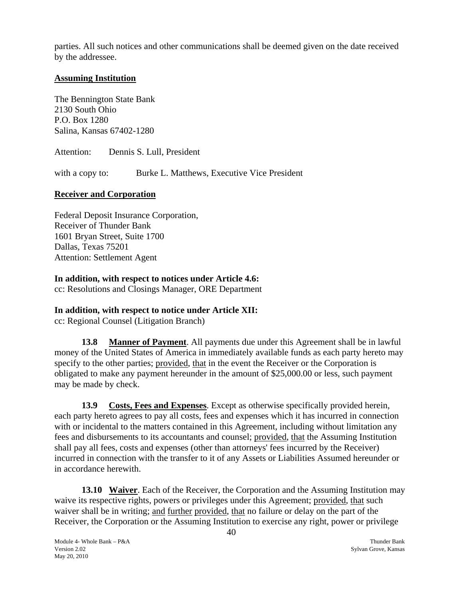<span id="page-43-0"></span>parties. All such notices and other communications shall be deemed given on the date received by the addressee.

## **Assuming Institution**

The Bennington State Bank 2130 South Ohio P.O. Box 1280 Salina, Kansas 67402-1280

Attention: Dennis S. Lull, President

with a copy to: Burke L. Matthews, Executive Vice President

## **Receiver and Corporation**

Federal Deposit Insurance Corporation, Receiver of Thunder Bank 1601 Bryan Street, Suite 1700 Dallas, Texas 75201 Attention: Settlement Agent

# **In addition, with respect to notices under Article 4.6:**

cc: Resolutions and Closings Manager, ORE Department

# **In addition, with respect to notice under Article XII:**

cc: Regional Counsel (Litigation Branch)

**13.8 Manner of Payment**. All payments due under this Agreement shall be in lawful money of the United States of America in immediately available funds as each party hereto may specify to the other parties; provided, that in the event the Receiver or the Corporation is obligated to make any payment hereunder in the amount of \$25,000.00 or less, such payment may be made by check.

**13.9 Costs, Fees and Expenses**. Except as otherwise specifically provided herein, each party hereto agrees to pay all costs, fees and expenses which it has incurred in connection with or incidental to the matters contained in this Agreement, including without limitation any fees and disbursements to its accountants and counsel; provided, that the Assuming Institution shall pay all fees, costs and expenses (other than attorneys' fees incurred by the Receiver) incurred in connection with the transfer to it of any Assets or Liabilities Assumed hereunder or in accordance herewith.

**13.10 Waiver**. Each of the Receiver, the Corporation and the Assuming Institution may waive its respective rights, powers or privileges under this Agreement; provided, that such waiver shall be in writing; and further provided, that no failure or delay on the part of the Receiver, the Corporation or the Assuming Institution to exercise any right, power or privilege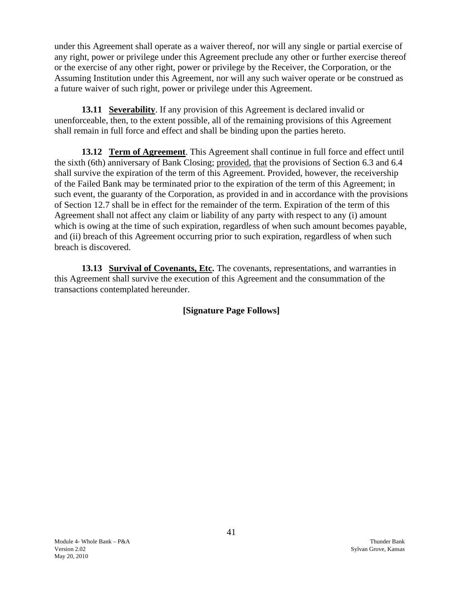<span id="page-44-0"></span>under this Agreement shall operate as a waiver thereof, nor will any single or partial exercise of any right, power or privilege under this Agreement preclude any other or further exercise thereof or the exercise of any other right, power or privilege by the Receiver, the Corporation, or the Assuming Institution under this Agreement, nor will any such waiver operate or be construed as a future waiver of such right, power or privilege under this Agreement.

**13.11 Severability**. If any provision of this Agreement is declared invalid or unenforceable, then, to the extent possible, all of the remaining provisions of this Agreement shall remain in full force and effect and shall be binding upon the parties hereto.

**13.12 Term of Agreement**. This Agreement shall continue in full force and effect until the sixth (6th) anniversary of Bank Closing; provided, that the provisions of Section 6.3 and 6.4 shall survive the expiration of the term of this Agreement. Provided, however, the receivership of the Failed Bank may be terminated prior to the expiration of the term of this Agreement; in such event, the guaranty of the Corporation, as provided in and in accordance with the provisions of Section 12.7 shall be in effect for the remainder of the term. Expiration of the term of this Agreement shall not affect any claim or liability of any party with respect to any (i) amount which is owing at the time of such expiration, regardless of when such amount becomes payable, and (ii) breach of this Agreement occurring prior to such expiration, regardless of when such breach is discovered.

**13.13 Survival of Covenants, Etc.** The covenants, representations, and warranties in this Agreement shall survive the execution of this Agreement and the consummation of the transactions contemplated hereunder.

# **[Signature Page Follows]**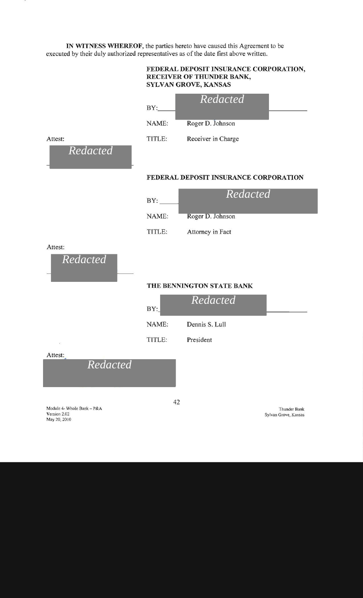IN WITNESS WHEREOF, the parties hereto have caused this Agreement to be executed by their duly authorized representatives as of the date first above written.



May 20, 2010

Sylvan Grove, Kansas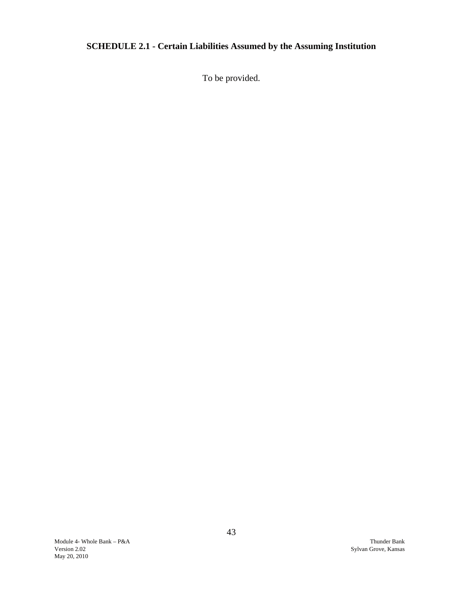# <span id="page-46-0"></span>**SCHEDULE 2.1 - Certain Liabilities Assumed by the Assuming Institution**

To be provided.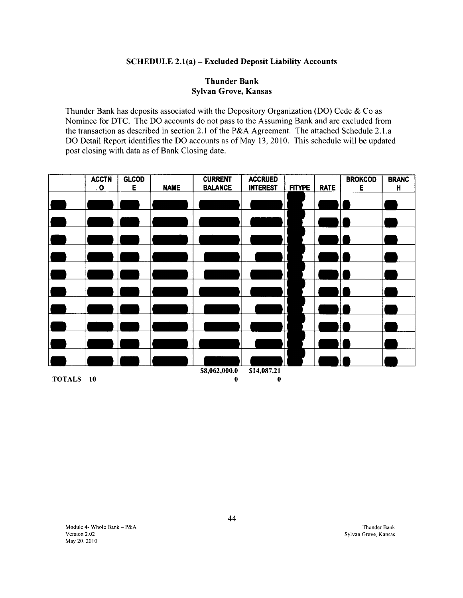#### SCHEDULE 2.1(a) - Excluded Deposit Liabilty Accounts

#### Thunder Bank Sylvan Grove, Kansas

Thunder Bank has deposits associated with the Depository Organization (DO) Cede & Co as Nominee for DTC. The DO accounts do not pass to the Assuming Bank and are excluded from the transaction as described in section 2.1 of the P&A Agreement. The attached Schedule 2.1.a DO Detail Report identifies the DO accounts as of May 13, 2010. This schedule will be updated post closing with data as of Bank Closing date.

|           | <b>ACCTN</b><br>$\bullet$ | <b>GLCOD</b><br>E | <b>NAME</b> | <b>CURRENT</b><br><b>BALANCE</b> | <b>ACCRUED</b><br><b>INTEREST</b> | <b>FITYPE</b> | <b>RATE</b> | <b>BROKCOD</b><br>E | <b>BRANC</b><br>$\mathbf H$ |
|-----------|---------------------------|-------------------|-------------|----------------------------------|-----------------------------------|---------------|-------------|---------------------|-----------------------------|
|           |                           |                   |             |                                  |                                   |               |             |                     |                             |
|           |                           |                   |             |                                  |                                   |               |             |                     |                             |
|           |                           |                   |             |                                  |                                   |               |             |                     |                             |
|           |                           |                   |             |                                  |                                   |               |             |                     |                             |
|           |                           |                   |             |                                  |                                   |               |             |                     |                             |
|           |                           |                   |             |                                  |                                   |               |             |                     |                             |
|           |                           |                   |             |                                  |                                   |               |             |                     |                             |
|           |                           |                   |             |                                  |                                   |               |             |                     |                             |
|           |                           |                   |             |                                  |                                   |               |             |                     |                             |
|           |                           |                   |             |                                  |                                   |               |             |                     |                             |
| TOTALS 10 |                           |                   |             | \$8,062,000.0<br>$\bf{0}$        | \$14,087.21<br>0                  |               |             |                     |                             |

Module 4- Whole Bank - P&A Thunder Bank Version 2.02 Sylvan Grove, Kansas May 20, 2010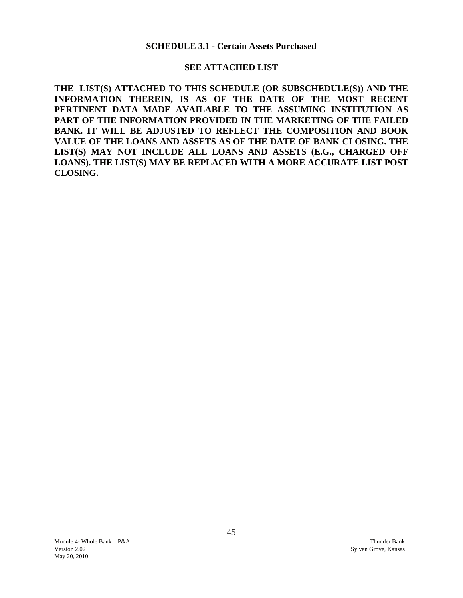#### **SCHEDULE 3.1 - Certain Assets Purchased**

#### **SEE ATTACHED LIST**

<span id="page-48-0"></span>**THE LIST(S) ATTACHED TO THIS SCHEDULE (OR SUBSCHEDULE(S)) AND THE INFORMATION THEREIN, IS AS OF THE DATE OF THE MOST RECENT PERTINENT DATA MADE AVAILABLE TO THE ASSUMING INSTITUTION AS PART OF THE INFORMATION PROVIDED IN THE MARKETING OF THE FAILED BANK. IT WILL BE ADJUSTED TO REFLECT THE COMPOSITION AND BOOK VALUE OF THE LOANS AND ASSETS AS OF THE DATE OF BANK CLOSING. THE LIST(S) MAY NOT INCLUDE ALL LOANS AND ASSETS (E.G., CHARGED OFF LOANS). THE LIST(S) MAY BE REPLACED WITH A MORE ACCURATE LIST POST CLOSING.**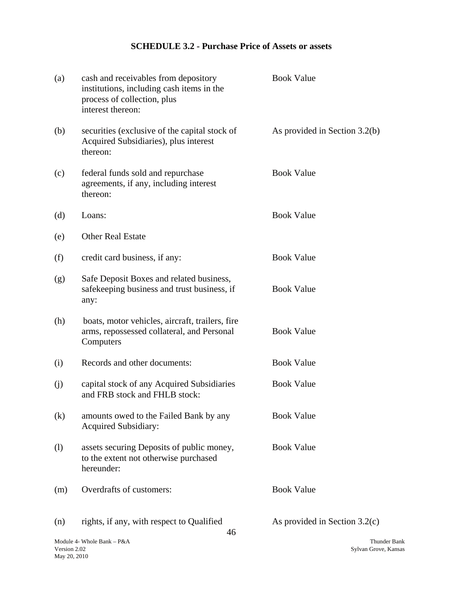## **SCHEDULE 3.2 - Purchase Price of Assets or assets**

| (a)          | cash and receivables from depository<br>institutions, including cash items in the<br>process of collection, plus<br>interest thereon: | <b>Book Value</b>                    |
|--------------|---------------------------------------------------------------------------------------------------------------------------------------|--------------------------------------|
| (b)          | securities (exclusive of the capital stock of<br>Acquired Subsidiaries), plus interest<br>thereon:                                    | As provided in Section 3.2(b)        |
| (c)          | federal funds sold and repurchase<br>agreements, if any, including interest<br>thereon:                                               | <b>Book Value</b>                    |
| (d)          | Loans:                                                                                                                                | <b>Book Value</b>                    |
| (e)          | <b>Other Real Estate</b>                                                                                                              |                                      |
| (f)          | credit card business, if any:                                                                                                         | <b>Book Value</b>                    |
| (g)          | Safe Deposit Boxes and related business,<br>safekeeping business and trust business, if<br>any:                                       | <b>Book Value</b>                    |
| (h)          | boats, motor vehicles, aircraft, trailers, fire<br>arms, repossessed collateral, and Personal<br>Computers                            | <b>Book Value</b>                    |
| (i)          | Records and other documents:                                                                                                          | <b>Book Value</b>                    |
| (j)          | capital stock of any Acquired Subsidiaries<br>and FRB stock and FHLB stock:                                                           | <b>Book Value</b>                    |
| (k)          | amounts owed to the Failed Bank by any<br><b>Acquired Subsidiary:</b>                                                                 | <b>Book Value</b>                    |
| (1)          | assets securing Deposits of public money,<br>to the extent not otherwise purchased<br>hereunder:                                      | <b>Book Value</b>                    |
| (m)          | Overdrafts of customers:                                                                                                              | <b>Book Value</b>                    |
| (n)          | rights, if any, with respect to Qualified<br>46                                                                                       | As provided in Section $3.2(c)$      |
| Version 2.02 | Module 4- Whole Bank - P&A                                                                                                            | Thunder Bank<br>Sylvan Grove, Kansas |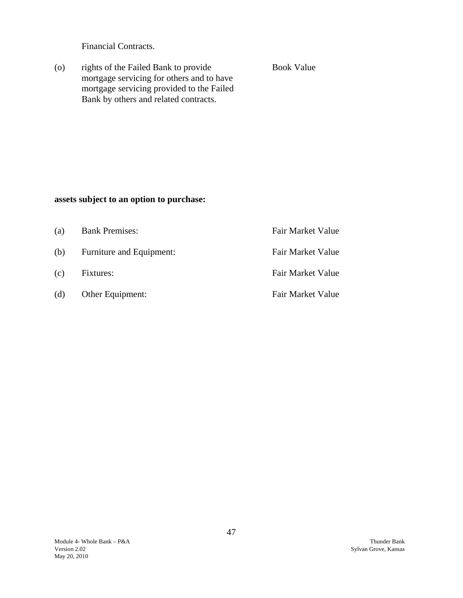Financial Contracts.

(o) rights of the Failed Bank to provide Book Value mortgage servicing for others and to have mortgage servicing provided to the Failed Bank by others and related contracts.

### **assets subject to an option to purchase:**

| (a) | <b>Bank Premises:</b>    | Fair Market Value |
|-----|--------------------------|-------------------|
| (b) | Furniture and Equipment: | Fair Market Value |
| (c) | Fixtures:                | Fair Market Value |
| (d) | Other Equipment:         | Fair Market Value |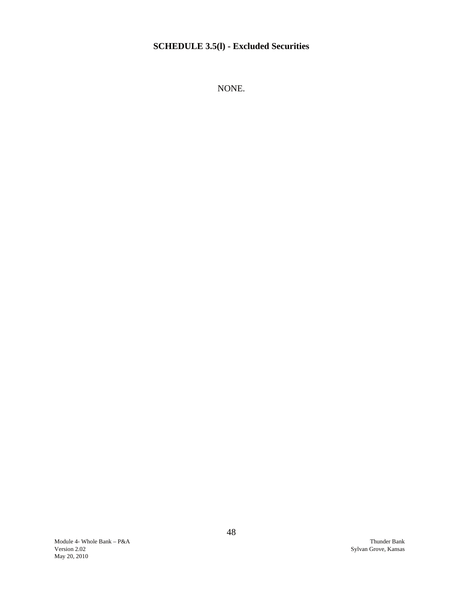# <span id="page-51-0"></span>**SCHEDULE 3.5(l) - Excluded Securities**

NONE.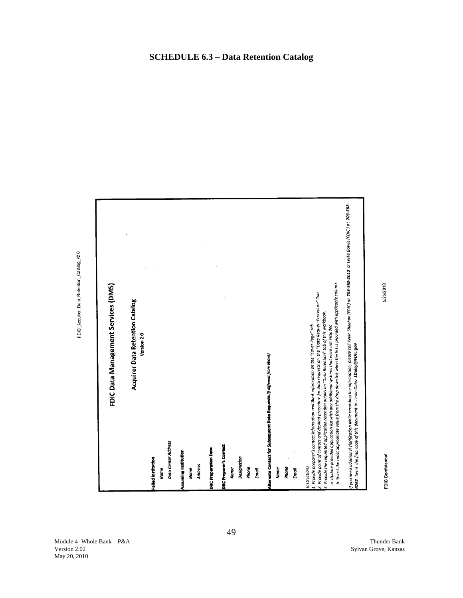



Module 4- Whole Bank – P&A Thunder Bank Version 2.02 Sylvan Grove, Kansas May 20, 2010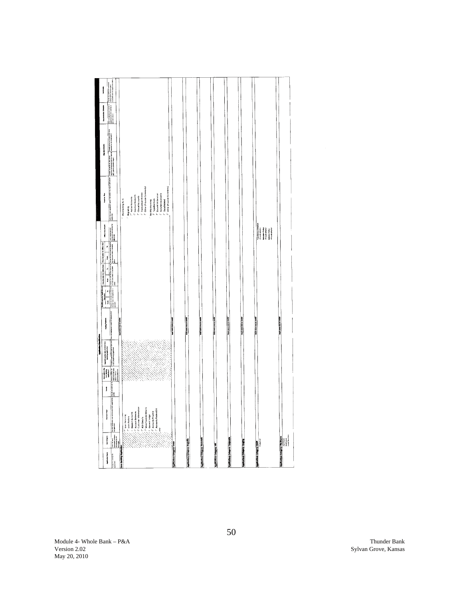

Module 4- Whole Bank – P&A Thunder Bank Version 2.02<br>May 20, 2010

Sylvan Grove, Kansas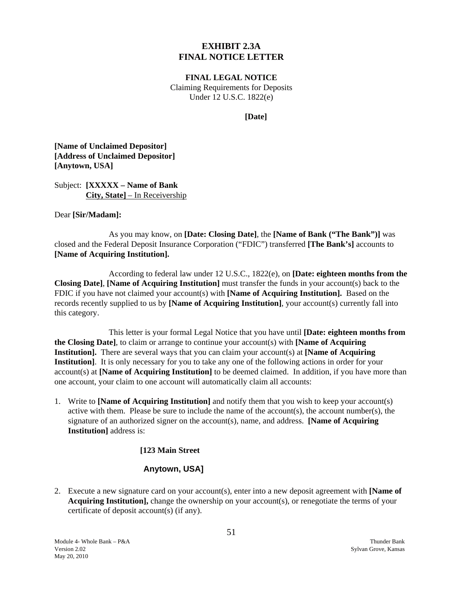## **EXHIBIT 2.3A FINAL NOTICE LETTER**

**FINAL LEGAL NOTICE** 

Claiming Requirements for Deposits Under 12 U.S.C. 1822(e)

**[Date]** 

<span id="page-54-0"></span>**[Name of Unclaimed Depositor] [Address of Unclaimed Depositor] [Anytown, USA]** 

Subject: **[XXXXX – Name of Bank City, State]** – In Receivership

Dear **[Sir/Madam]:** 

As you may know, on **[Date: Closing Date]**, the **[Name of Bank ("The Bank")]** was closed and the Federal Deposit Insurance Corporation ("FDIC") transferred **[The Bank's]** accounts to **[Name of Acquiring Institution].** 

According to federal law under 12 U.S.C., 1822(e), on **[Date: eighteen months from the Closing Date]**, **[Name of Acquiring Institution]** must transfer the funds in your account(s) back to the FDIC if you have not claimed your account(s) with **[Name of Acquiring Institution].** Based on the records recently supplied to us by **[Name of Acquiring Institution]**, your account(s) currently fall into this category.

This letter is your formal Legal Notice that you have until **[Date: eighteen months from the Closing Date]**, to claim or arrange to continue your account(s) with **[Name of Acquiring Institution].** There are several ways that you can claim your account(s) at **[Name of Acquiring Institution]**. It is only necessary for you to take any one of the following actions in order for your account(s) at **[Name of Acquiring Institution]** to be deemed claimed. In addition, if you have more than one account, your claim to one account will automatically claim all accounts:

1. Write to **[Name of Acquiring Institution**] and notify them that you wish to keep your account(s) active with them. Please be sure to include the name of the account(s), the account number(s), the signature of an authorized signer on the account(s), name, and address. **[Name of Acquiring Institution]** address is:

#### **[123 Main Street**

#### **Anytown, USA]**

2. Execute a new signature card on your account(s), enter into a new deposit agreement with **[Name of Acquiring Institution],** change the ownership on your account(s), or renegotiate the terms of your certificate of deposit account(s) (if any).

Module 4- Whole Bank – P&A Thunder Bank – P&A Thunder Bank – Thunder Bank – Thunder Bank – Thunder Bank – Thunder Bank – Thunder Bank – Thunder Bank – Thunder Bank – Thunder Bank – Thunder Bank – Thunder Bank – Thunder Ban Version 2.02 Sylvan Grove, Kansas May 20, 2010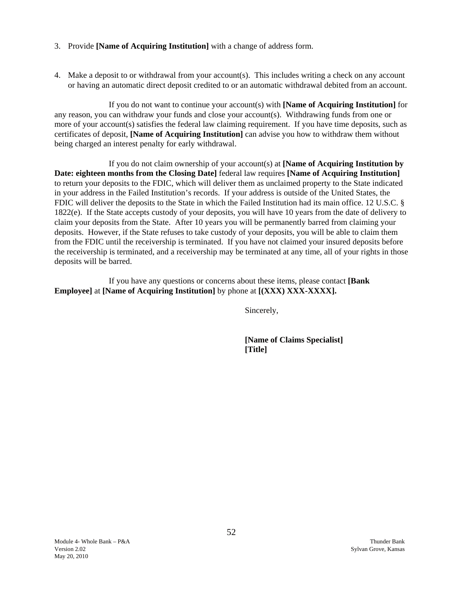- 3. Provide **[Name of Acquiring Institution]** with a change of address form.
- 4. Make a deposit to or withdrawal from your account(s). This includes writing a check on any account or having an automatic direct deposit credited to or an automatic withdrawal debited from an account.

If you do not want to continue your account(s) with **[Name of Acquiring Institution]** for any reason, you can withdraw your funds and close your account(s). Withdrawing funds from one or more of your account(s) satisfies the federal law claiming requirement. If you have time deposits, such as certificates of deposit, **[Name of Acquiring Institution]** can advise you how to withdraw them without being charged an interest penalty for early withdrawal.

If you do not claim ownership of your account(s) at **[Name of Acquiring Institution by Date: eighteen months from the Closing Date]** federal law requires **[Name of Acquiring Institution]**  to return your deposits to the FDIC, which will deliver them as unclaimed property to the State indicated in your address in the Failed Institution's records. If your address is outside of the United States, the FDIC will deliver the deposits to the State in which the Failed Institution had its main office. 12 U.S.C. § 1822(e). If the State accepts custody of your deposits, you will have 10 years from the date of delivery to claim your deposits from the State. After 10 years you will be permanently barred from claiming your deposits. However, if the State refuses to take custody of your deposits, you will be able to claim them from the FDIC until the receivership is terminated. If you have not claimed your insured deposits before the receivership is terminated, and a receivership may be terminated at any time, all of your rights in those deposits will be barred.

If you have any questions or concerns about these items, please contact **[Bank Employee]** at **[Name of Acquiring Institution]** by phone at **[(XXX) XXX-XXXX].** 

Sincerely,

**[Name of Claims Specialist] [Title]**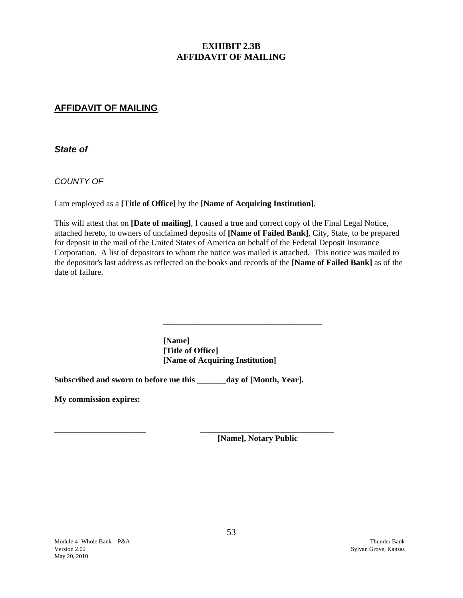# **EXHIBIT 2.3B AFFIDAVIT OF MAILING**

## <span id="page-56-0"></span>**AFFIDAVIT OF MAILING**

*State of* 

*COUNTY OF* 

I am employed as a **[Title of Office]** by the **[Name of Acquiring Institution]**.

This will attest that on **[Date of mailing]**, I caused a true and correct copy of the Final Legal Notice, attached hereto, to owners of unclaimed deposits of **[Name of Failed Bank]**, City, State, to be prepared for deposit in the mail of the United States of America on behalf of the Federal Deposit Insurance Corporation. A list of depositors to whom the notice was mailed is attached. This notice was mailed to the depositor's last address as reflected on the books and records of the **[Name of Failed Bank]** as of the date of failure.

> **[Name] [Title of Office] [Name of Acquiring Institution]**

**Subscribed and sworn to before me this \_\_\_\_\_\_\_day of [Month, Year].** 

 $\overline{\phantom{a}}$  ,  $\overline{\phantom{a}}$  ,  $\overline{\phantom{a}}$  ,  $\overline{\phantom{a}}$  ,  $\overline{\phantom{a}}$  ,  $\overline{\phantom{a}}$  ,  $\overline{\phantom{a}}$  ,  $\overline{\phantom{a}}$  ,  $\overline{\phantom{a}}$  ,  $\overline{\phantom{a}}$  ,  $\overline{\phantom{a}}$  ,  $\overline{\phantom{a}}$  ,  $\overline{\phantom{a}}$  ,  $\overline{\phantom{a}}$  ,  $\overline{\phantom{a}}$  ,  $\overline{\phantom{a}}$ 

**My commission expires:** 

**\_\_\_\_\_\_\_\_\_\_\_\_\_\_\_\_\_\_\_\_\_\_ \_\_\_\_\_\_\_\_\_\_\_\_\_\_\_\_\_\_\_\_\_\_\_\_\_\_\_\_\_\_\_\_ [Name], Notary Public**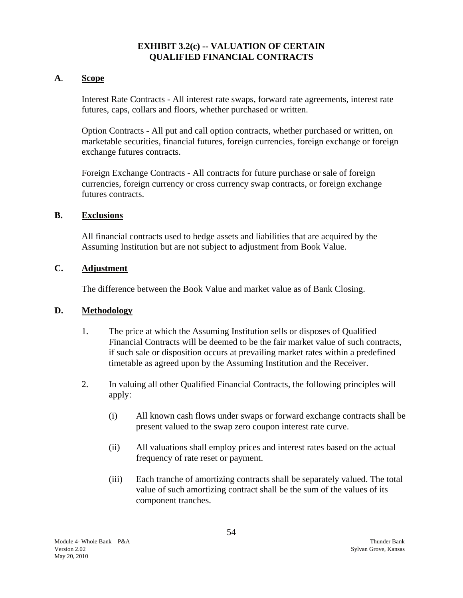# **EXHIBIT 3.2(c) -- VALUATION OF CERTAIN QUALIFIED FINANCIAL CONTRACTS**

#### <span id="page-57-0"></span>**A**. **Scope**

Interest Rate Contracts - All interest rate swaps, forward rate agreements, interest rate futures, caps, collars and floors, whether purchased or written.

Option Contracts - All put and call option contracts, whether purchased or written, on marketable securities, financial futures, foreign currencies, foreign exchange or foreign exchange futures contracts.

Foreign Exchange Contracts - All contracts for future purchase or sale of foreign currencies, foreign currency or cross currency swap contracts, or foreign exchange futures contracts.

#### **B. Exclusions**

All financial contracts used to hedge assets and liabilities that are acquired by the Assuming Institution but are not subject to adjustment from Book Value.

#### **C. Adjustment**

The difference between the Book Value and market value as of Bank Closing.

#### **D. Methodology**

- 1. The price at which the Assuming Institution sells or disposes of Qualified Financial Contracts will be deemed to be the fair market value of such contracts, if such sale or disposition occurs at prevailing market rates within a predefined timetable as agreed upon by the Assuming Institution and the Receiver.
- 2. In valuing all other Qualified Financial Contracts, the following principles will apply:
	- (i) All known cash flows under swaps or forward exchange contracts shall be present valued to the swap zero coupon interest rate curve.
	- (ii) All valuations shall employ prices and interest rates based on the actual frequency of rate reset or payment.
	- (iii) Each tranche of amortizing contracts shall be separately valued. The total value of such amortizing contract shall be the sum of the values of its component tranches.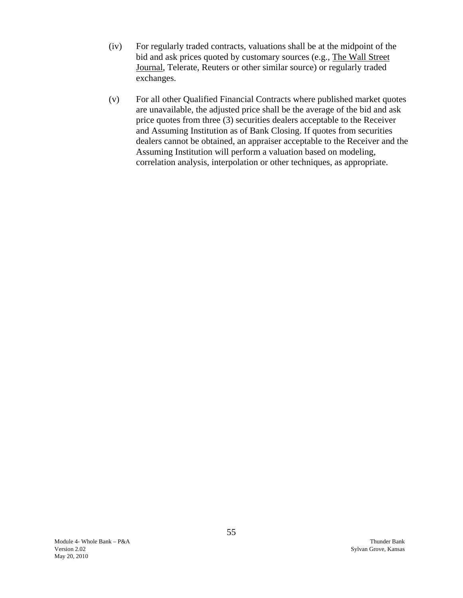- (iv) For regularly traded contracts, valuations shall be at the midpoint of the bid and ask prices quoted by customary sources (e.g., The Wall Street Journal, Telerate, Reuters or other similar source) or regularly traded exchanges.
- (v) For all other Qualified Financial Contracts where published market quotes are unavailable, the adjusted price shall be the average of the bid and ask price quotes from three (3) securities dealers acceptable to the Receiver and Assuming Institution as of Bank Closing. If quotes from securities dealers cannot be obtained, an appraiser acceptable to the Receiver and the Assuming Institution will perform a valuation based on modeling, correlation analysis, interpolation or other techniques, as appropriate.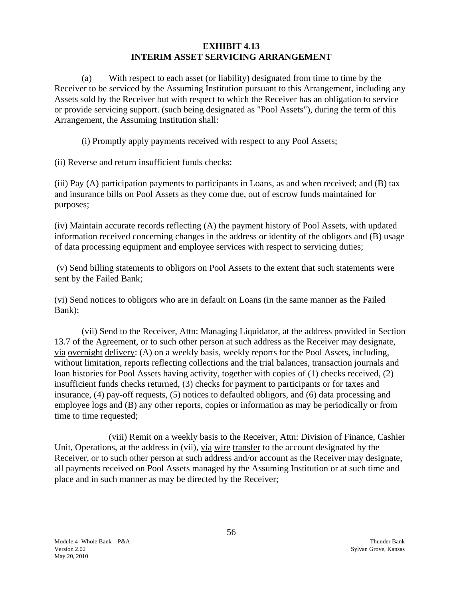### **EXHIBIT 4.13 INTERIM ASSET SERVICING ARRANGEMENT**

<span id="page-59-0"></span>(a) With respect to each asset (or liability) designated from time to time by the Receiver to be serviced by the Assuming Institution pursuant to this Arrangement, including any Assets sold by the Receiver but with respect to which the Receiver has an obligation to service or provide servicing support. (such being designated as "Pool Assets"), during the term of this Arrangement, the Assuming Institution shall:

(i) Promptly apply payments received with respect to any Pool Assets;

(ii) Reverse and return insufficient funds checks;

(iii) Pay (A) participation payments to participants in Loans, as and when received; and (B) tax and insurance bills on Pool Assets as they come due, out of escrow funds maintained for purposes;

(iv) Maintain accurate records reflecting (A) the payment history of Pool Assets, with updated information received concerning changes in the address or identity of the obligors and (B) usage of data processing equipment and employee services with respect to servicing duties;

(v) Send billing statements to obligors on Pool Assets to the extent that such statements were sent by the Failed Bank;

(vi) Send notices to obligors who are in default on Loans (in the same manner as the Failed Bank);

(vii) Send to the Receiver, Attn: Managing Liquidator, at the address provided in Section 13.7 of the Agreement, or to such other person at such address as the Receiver may designate, via overnight delivery: (A) on a weekly basis, weekly reports for the Pool Assets, including, without limitation, reports reflecting collections and the trial balances, transaction journals and loan histories for Pool Assets having activity, together with copies of (1) checks received, (2) insufficient funds checks returned, (3) checks for payment to participants or for taxes and insurance, (4) pay-off requests, (5) notices to defaulted obligors, and (6) data processing and employee logs and (B) any other reports, copies or information as may be periodically or from time to time requested;

(viii) Remit on a weekly basis to the Receiver, Attn: Division of Finance, Cashier Unit, Operations, at the address in (vii), via wire transfer to the account designated by the Receiver, or to such other person at such address and/or account as the Receiver may designate, all payments received on Pool Assets managed by the Assuming Institution or at such time and place and in such manner as may be directed by the Receiver;